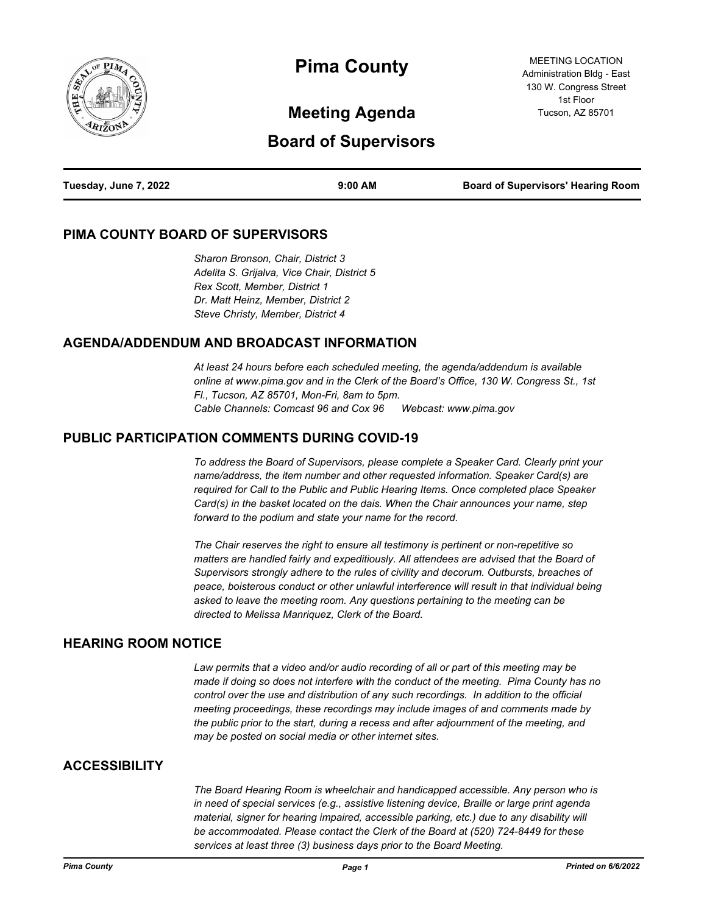

# **Pima County**

MEETING LOCATION Administration Bldg - East 130 W. Congress Street 1st Floor Tucson, AZ 85701

# **Meeting Agenda**

# **Board of Supervisors**

| Tuesday, June 7, 2022 | $9:00$ AM | <b>Board of Supervisors' Hearing Room</b> |
|-----------------------|-----------|-------------------------------------------|
|                       |           |                                           |

#### **PIMA COUNTY BOARD OF SUPERVISORS**

*Sharon Bronson, Chair, District 3 Adelita S. Grijalva, Vice Chair, District 5 Rex Scott, Member, District 1 Dr. Matt Heinz, Member, District 2 Steve Christy, Member, District 4*

#### **AGENDA/ADDENDUM AND BROADCAST INFORMATION**

*At least 24 hours before each scheduled meeting, the agenda/addendum is available online at www.pima.gov and in the Clerk of the Board's Office, 130 W. Congress St., 1st Fl., Tucson, AZ 85701, Mon-Fri, 8am to 5pm. Cable Channels: Comcast 96 and Cox 96 Webcast: www.pima.gov*

#### **PUBLIC PARTICIPATION COMMENTS DURING COVID-19**

*To address the Board of Supervisors, please complete a Speaker Card. Clearly print your name/address, the item number and other requested information. Speaker Card(s) are required for Call to the Public and Public Hearing Items. Once completed place Speaker Card(s) in the basket located on the dais. When the Chair announces your name, step forward to the podium and state your name for the record.*

*The Chair reserves the right to ensure all testimony is pertinent or non-repetitive so matters are handled fairly and expeditiously. All attendees are advised that the Board of Supervisors strongly adhere to the rules of civility and decorum. Outbursts, breaches of peace, boisterous conduct or other unlawful interference will result in that individual being asked to leave the meeting room. Any questions pertaining to the meeting can be directed to Melissa Manriquez, Clerk of the Board.*

#### **HEARING ROOM NOTICE**

*Law permits that a video and/or audio recording of all or part of this meeting may be made if doing so does not interfere with the conduct of the meeting. Pima County has no control over the use and distribution of any such recordings. In addition to the official meeting proceedings, these recordings may include images of and comments made by the public prior to the start, during a recess and after adjournment of the meeting, and may be posted on social media or other internet sites.*

#### **ACCESSIBILITY**

*The Board Hearing Room is wheelchair and handicapped accessible. Any person who is in need of special services (e.g., assistive listening device, Braille or large print agenda material, signer for hearing impaired, accessible parking, etc.) due to any disability will be accommodated. Please contact the Clerk of the Board at (520) 724-8449 for these services at least three (3) business days prior to the Board Meeting.*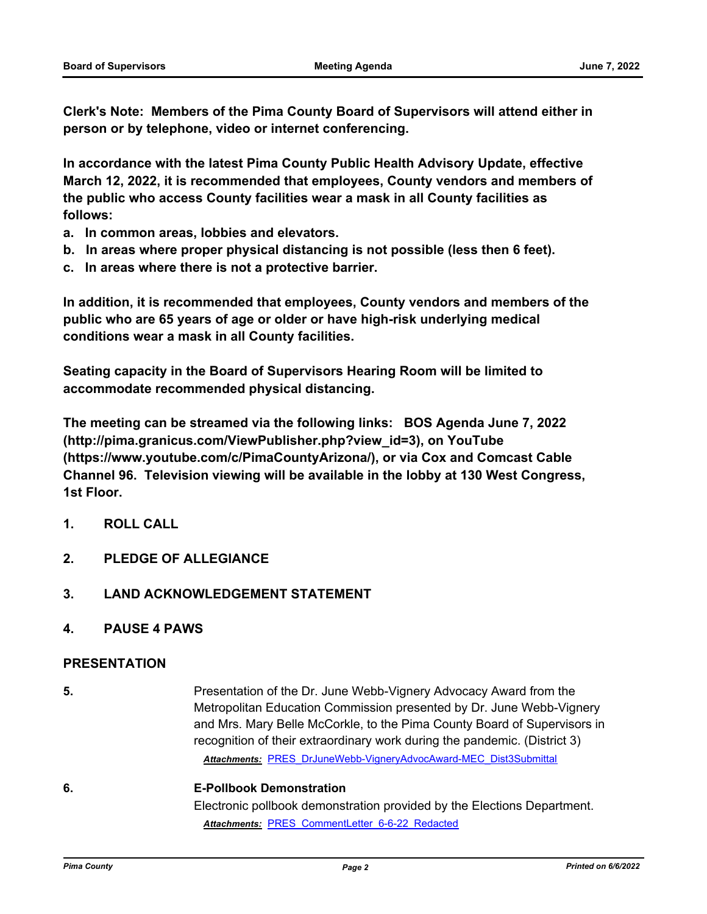**Clerk's Note: Members of the Pima County Board of Supervisors will attend either in person or by telephone, video or internet conferencing.**

**In accordance with the latest Pima County Public Health Advisory Update, effective March 12, 2022, it is recommended that employees, County vendors and members of the public who access County facilities wear a mask in all County facilities as follows:**

- **a. In common areas, lobbies and elevators.**
- **b. In areas where proper physical distancing is not possible (less then 6 feet).**
- **c. In areas where there is not a protective barrier.**

**In addition, it is recommended that employees, County vendors and members of the public who are 65 years of age or older or have high-risk underlying medical conditions wear a mask in all County facilities.**

**Seating capacity in the Board of Supervisors Hearing Room will be limited to accommodate recommended physical distancing.**

**The meeting can be streamed via the following links: BOS Agenda June 7, 2022 (http://pima.granicus.com/ViewPublisher.php?view\_id=3), on YouTube (https://www.youtube.com/c/PimaCountyArizona/), or via Cox and Comcast Cable Channel 96. Television viewing will be available in the lobby at 130 West Congress, 1st Floor.**

- **1. ROLL CALL**
- **2. PLEDGE OF ALLEGIANCE**
- **3. LAND ACKNOWLEDGEMENT STATEMENT**
- **4. PAUSE 4 PAWS**

#### **PRESENTATION**

**5.** Presentation of the Dr. June Webb-Vignery Advocacy Award from the Metropolitan Education Commission presented by Dr. June Webb-Vignery and Mrs. Mary Belle McCorkle, to the Pima County Board of Supervisors in recognition of their extraordinary work during the pandemic. (District 3) *Attachments:* [PRES\\_DrJuneWebb-VigneryAdvocAward-MEC\\_Dist3Submittal](http://pima.legistar.com/gateway.aspx?M=F&ID=4d184164-3efb-46b9-97a1-a54a377d27e8.pdf)

### **6. E-Pollbook Demonstration** Electronic pollbook demonstration provided by the Elections Department. *Attachments:* [PRES\\_CommentLetter\\_6-6-22\\_Redacted](http://pima.legistar.com/gateway.aspx?M=F&ID=90230f0e-eae5-4cf4-820d-217b04ca8ed1.pdf)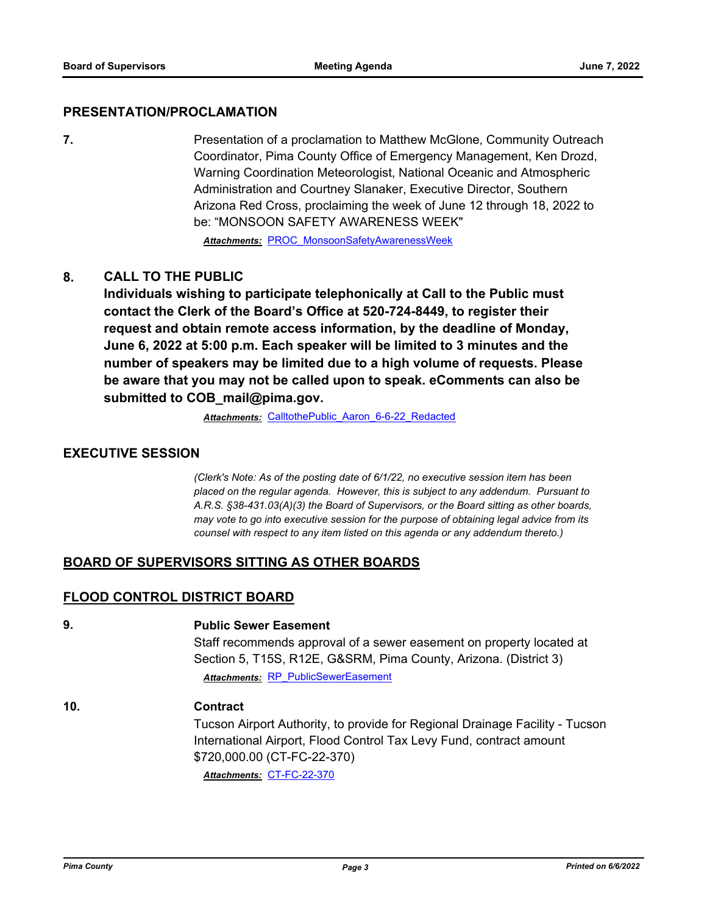#### **PRESENTATION/PROCLAMATION**

**7. Presentation of a proclamation to Matthew McGlone, Community Outreach** Coordinator, Pima County Office of Emergency Management, Ken Drozd, Warning Coordination Meteorologist, National Oceanic and Atmospheric Administration and Courtney Slanaker, Executive Director, Southern Arizona Red Cross, proclaiming the week of June 12 through 18, 2022 to be: "MONSOON SAFETY AWARENESS WEEK"

*Attachments:* [PROC\\_MonsoonSafetyAwarenessWeek](http://pima.legistar.com/gateway.aspx?M=F&ID=ceba0ca7-9042-4271-9203-88f62c513b2d.pdf)

#### **8. CALL TO THE PUBLIC**

**Individuals wishing to participate telephonically at Call to the Public must contact the Clerk of the Board's Office at 520-724-8449, to register their request and obtain remote access information, by the deadline of Monday, June 6, 2022 at 5:00 p.m. Each speaker will be limited to 3 minutes and the number of speakers may be limited due to a high volume of requests. Please be aware that you may not be called upon to speak. eComments can also be submitted to COB\_mail@pima.gov.**

*Attachments:* [CalltothePublic\\_Aaron\\_6-6-22\\_Redacted](http://pima.legistar.com/gateway.aspx?M=F&ID=5d09545e-b73e-4123-8a17-69d4b553511c.pdf)

#### **EXECUTIVE SESSION**

*(Clerk's Note: As of the posting date of 6/1/22, no executive session item has been placed on the regular agenda. However, this is subject to any addendum. Pursuant to A.R.S. §38-431.03(A)(3) the Board of Supervisors, or the Board sitting as other boards, may vote to go into executive session for the purpose of obtaining legal advice from its counsel with respect to any item listed on this agenda or any addendum thereto.)*

#### **BOARD OF SUPERVISORS SITTING AS OTHER BOARDS**

#### **FLOOD CONTROL DISTRICT BOARD**

**9. Public Sewer Easement**

Staff recommends approval of a sewer easement on property located at Section 5, T15S, R12E, G&SRM, Pima County, Arizona. (District 3) *Attachments:* [RP\\_PublicSewerEasement](http://pima.legistar.com/gateway.aspx?M=F&ID=f1484c4c-573a-46da-ba53-45590deefdc2.pdf)

#### **10. Contract**

Tucson Airport Authority, to provide for Regional Drainage Facility - Tucson International Airport, Flood Control Tax Levy Fund, contract amount \$720,000.00 (CT-FC-22-370)

*Attachments:* [CT-FC-22-370](http://pima.legistar.com/gateway.aspx?M=F&ID=7cbcf945-d3c1-492b-8dd9-2c95f62ba7a7.pdf)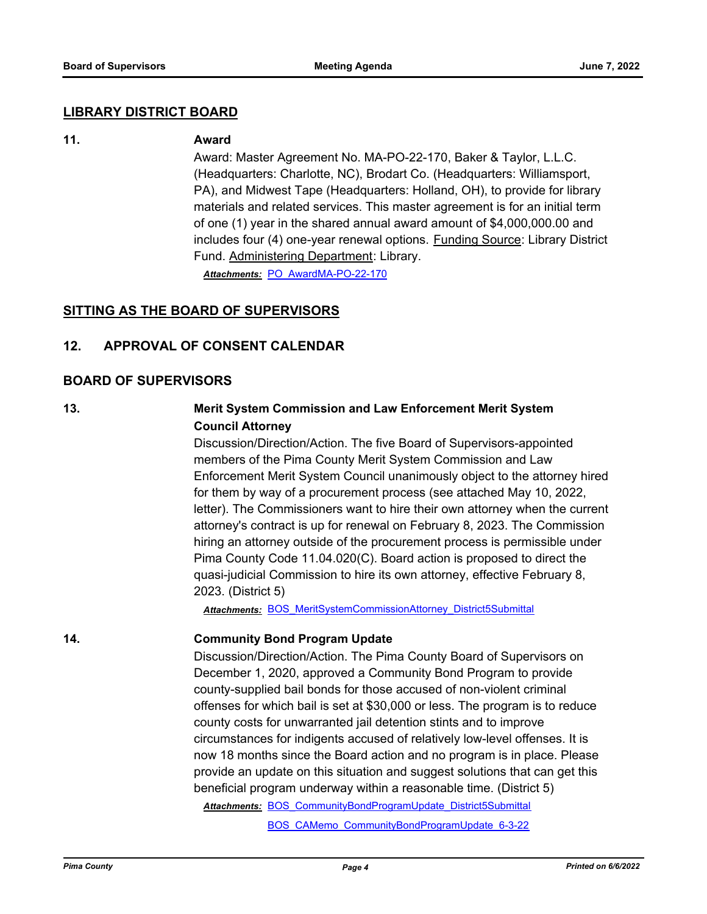#### **LIBRARY DISTRICT BOARD**

#### **11. Award**

Award: Master Agreement No. MA-PO-22-170, Baker & Taylor, L.L.C. (Headquarters: Charlotte, NC), Brodart Co. (Headquarters: Williamsport, PA), and Midwest Tape (Headquarters: Holland, OH), to provide for library materials and related services. This master agreement is for an initial term of one (1) year in the shared annual award amount of \$4,000,000.00 and includes four (4) one-year renewal options. Funding Source: Library District Fund. Administering Department: Library.

*Attachments:* [PO\\_AwardMA-PO-22-170](http://pima.legistar.com/gateway.aspx?M=F&ID=998192b5-93b6-497e-b51c-7c90b8ca21d4.pdf)

#### **SITTING AS THE BOARD OF SUPERVISORS**

#### **12. APPROVAL OF CONSENT CALENDAR**

#### **BOARD OF SUPERVISORS**

#### **13. Merit System Commission and Law Enforcement Merit System Council Attorney**

Discussion/Direction/Action. The five Board of Supervisors-appointed members of the Pima County Merit System Commission and Law Enforcement Merit System Council unanimously object to the attorney hired for them by way of a procurement process (see attached May 10, 2022, letter). The Commissioners want to hire their own attorney when the current attorney's contract is up for renewal on February 8, 2023. The Commission hiring an attorney outside of the procurement process is permissible under Pima County Code 11.04.020(C). Board action is proposed to direct the quasi-judicial Commission to hire its own attorney, effective February 8, 2023. (District 5)

*Attachments:* [BOS\\_MeritSystemCommissionAttorney\\_District5Submittal](http://pima.legistar.com/gateway.aspx?M=F&ID=f923e92c-4b83-4592-8293-ddbf15354e44.pdf)

#### **14. Community Bond Program Update**

Discussion/Direction/Action. The Pima County Board of Supervisors on December 1, 2020, approved a Community Bond Program to provide county-supplied bail bonds for those accused of non-violent criminal offenses for which bail is set at \$30,000 or less. The program is to reduce county costs for unwarranted jail detention stints and to improve circumstances for indigents accused of relatively low-level offenses. It is now 18 months since the Board action and no program is in place. Please provide an update on this situation and suggest solutions that can get this beneficial program underway within a reasonable time. (District 5)

Attachments: BOS CommunityBondProgramUpdate District5Submittal

[BOS\\_CAMemo\\_CommunityBondProgramUpdate\\_6-3-22](http://pima.legistar.com/gateway.aspx?M=F&ID=52ca4e6c-b61f-423a-9f47-e8734db3ec8d.pdf)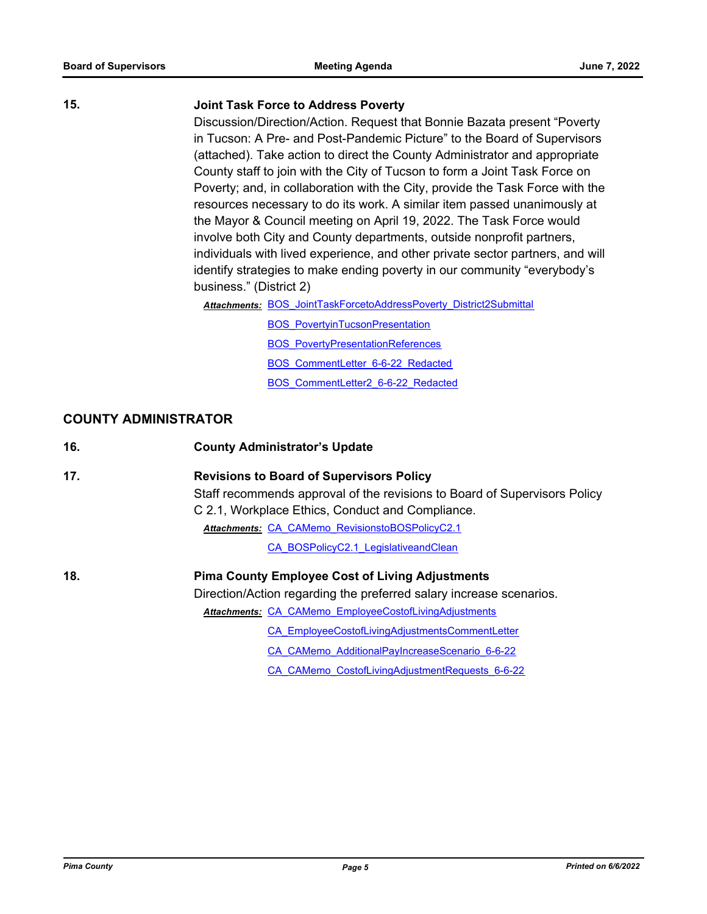#### **15. Joint Task Force to Address Poverty**

Discussion/Direction/Action. Request that Bonnie Bazata present "Poverty in Tucson: A Pre- and Post-Pandemic Picture" to the Board of Supervisors (attached). Take action to direct the County Administrator and appropriate County staff to join with the City of Tucson to form a Joint Task Force on Poverty; and, in collaboration with the City, provide the Task Force with the resources necessary to do its work. A similar item passed unanimously at the Mayor & Council meeting on April 19, 2022. The Task Force would involve both City and County departments, outside nonprofit partners, individuals with lived experience, and other private sector partners, and will identify strategies to make ending poverty in our community "everybody's business." (District 2)

Attachments: BOS JointTaskForcetoAddressPoverty District2Submittal

**[BOS\\_PovertyinTucsonPresentation](http://pima.legistar.com/gateway.aspx?M=F&ID=fba04afe-4525-48a3-a26b-7cecbff9ba5e.pdf)** 

**[BOS\\_PovertyPresentationReferences](http://pima.legistar.com/gateway.aspx?M=F&ID=5f0b4241-97b8-4af8-a514-5a4d9fc56768.pdf)** 

[BOS\\_CommentLetter\\_6-6-22\\_Redacted](http://pima.legistar.com/gateway.aspx?M=F&ID=d04a113f-a652-4732-9d08-221a9f55db0e.pdf)

[BOS\\_CommentLetter2\\_6-6-22\\_Redacted](http://pima.legistar.com/gateway.aspx?M=F&ID=9e4def2d-09f9-4f6a-a109-5fbd0b2e3594.pdf)

#### **COUNTY ADMINISTRATOR**

| 16. | <b>County Administrator's Update</b>                                                                                          |
|-----|-------------------------------------------------------------------------------------------------------------------------------|
| 17. | <b>Revisions to Board of Supervisors Policy</b>                                                                               |
|     | Staff recommends approval of the revisions to Board of Supervisors Policy<br>C 2.1, Workplace Ethics, Conduct and Compliance. |
|     | Attachments: CA CAMemo RevisionstoBOSPolicyC2.1                                                                               |
|     | CA BOSPolicyC2.1 LegislativeandClean                                                                                          |
| 18. | <b>Pima County Employee Cost of Living Adjustments</b>                                                                        |
|     | Direction/Action regarding the preferred salary increase scenarios.                                                           |
|     | <b>Attachments: CA CAMemo EmployeeCostofLivingAdjustments</b>                                                                 |
|     | CA EmployeeCostofLivingAdjustmentsCommentLetter                                                                               |
|     | CA CAMemo AdditionalPayIncreaseScenario 6-6-22                                                                                |
|     | CA CAMemo CostofLivingAdjustmentRequests 6-6-22                                                                               |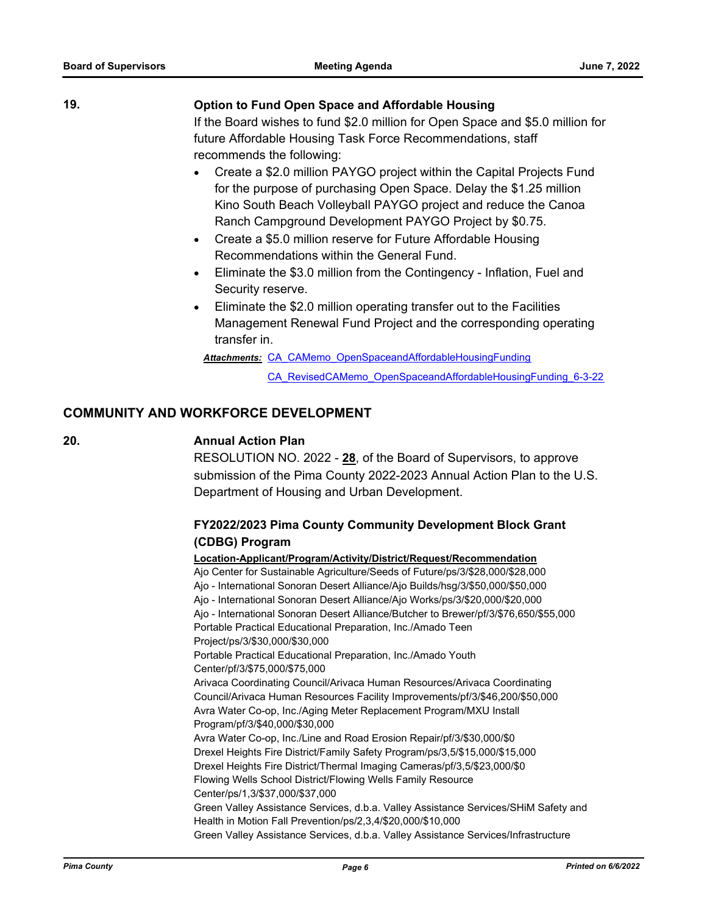**19. Option to Fund Open Space and Affordable Housing** If the Board wishes to fund \$2.0 million for Open Space and \$5.0 million for future Affordable Housing Task Force Recommendations, staff recommends the following:

- · Create a \$2.0 million PAYGO project within the Capital Projects Fund for the purpose of purchasing Open Space. Delay the \$1.25 million Kino South Beach Volleyball PAYGO project and reduce the Canoa Ranch Campground Development PAYGO Project by \$0.75.
- · Create a \$5.0 million reserve for Future Affordable Housing Recommendations within the General Fund.
- · Eliminate the \$3.0 million from the Contingency Inflation, Fuel and Security reserve.
- Eliminate the \$2.0 million operating transfer out to the Facilities Management Renewal Fund Project and the corresponding operating transfer in.

Attachments: CA CAMemo OpenSpaceandAffordableHousingFunding

[CA\\_RevisedCAMemo\\_OpenSpaceandAffordableHousingFunding\\_6-3-22](http://pima.legistar.com/gateway.aspx?M=F&ID=bb8e5d34-b096-42d1-a6b7-bbc7c9f553e4.pdf)

#### **COMMUNITY AND WORKFORCE DEVELOPMENT**

#### **20. Annual Action Plan**

RESOLUTION NO. 2022 - **28**, of the Board of Supervisors, to approve submission of the Pima County 2022-2023 Annual Action Plan to the U.S. Department of Housing and Urban Development.

#### **FY2022/2023 Pima County Community Development Block Grant (CDBG) Program**

#### **Location-Applicant/Program/Activity/District/Request/Recommendation**

Ajo Center for Sustainable Agriculture/Seeds of Future/ps/3/\$28,000/\$28,000 Ajo - International Sonoran Desert Alliance/Ajo Builds/hsg/3/\$50,000/\$50,000 Ajo - International Sonoran Desert Alliance/Ajo Works/ps/3/\$20,000/\$20,000 Ajo - International Sonoran Desert Alliance/Butcher to Brewer/pf/3/\$76,650/\$55,000 Portable Practical Educational Preparation, Inc./Amado Teen Project/ps/3/\$30,000/\$30,000 Portable Practical Educational Preparation, Inc./Amado Youth Center/pf/3/\$75,000/\$75,000 Arivaca Coordinating Council/Arivaca Human Resources/Arivaca Coordinating Council/Arivaca Human Resources Facility Improvements/pf/3/\$46,200/\$50,000 Avra Water Co-op, Inc./Aging Meter Replacement Program/MXU Install Program/pf/3/\$40,000/\$30,000 Avra Water Co-op, Inc./Line and Road Erosion Repair/pf/3/\$30,000/\$0 Drexel Heights Fire District/Family Safety Program/ps/3,5/\$15,000/\$15,000 Drexel Heights Fire District/Thermal Imaging Cameras/pf/3,5/\$23,000/\$0 Flowing Wells School District/Flowing Wells Family Resource Center/ps/1,3/\$37,000/\$37,000 Green Valley Assistance Services, d.b.a. Valley Assistance Services/SHiM Safety and Health in Motion Fall Prevention/ps/2,3,4/\$20,000/\$10,000 Green Valley Assistance Services, d.b.a. Valley Assistance Services/Infrastructure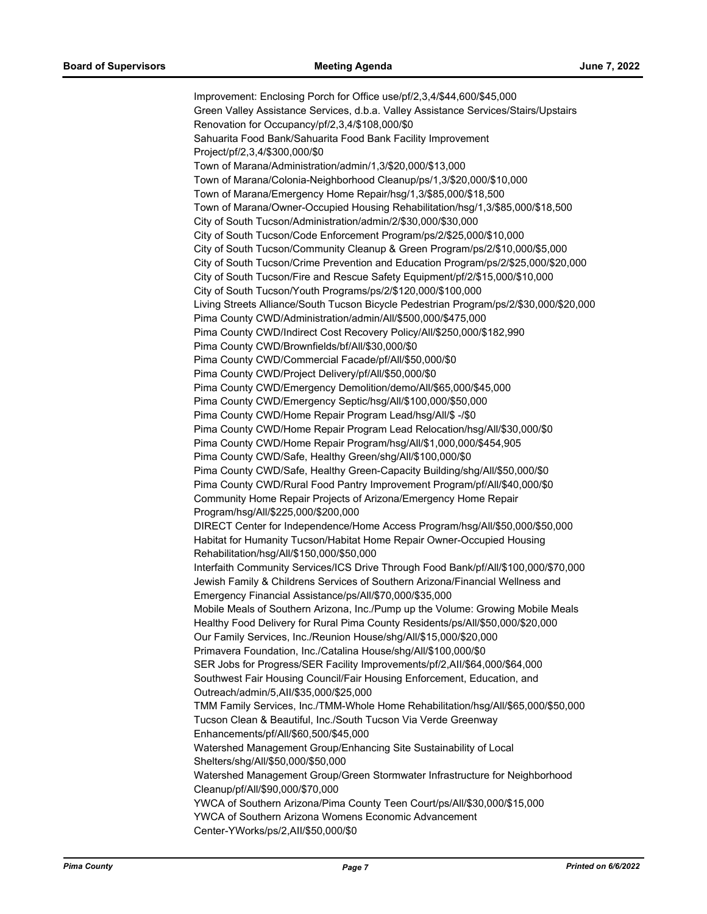Improvement: Enclosing Porch for Office use/pf/2,3,4/\$44,600/\$45,000 Green Valley Assistance Services, d.b.a. Valley Assistance Services/Stairs/Upstairs Renovation for Occupancy/pf/2,3,4/\$108,000/\$0 Sahuarita Food Bank/Sahuarita Food Bank Facility Improvement Project/pf/2,3,4/\$300,000/\$0 Town of Marana/Administration/admin/1,3/\$20,000/\$13,000 Town of Marana/Colonia-Neighborhood Cleanup/ps/1,3/\$20,000/\$10,000 Town of Marana/Emergency Home Repair/hsg/1,3/\$85,000/\$18,500 Town of Marana/Owner-Occupied Housing Rehabilitation/hsg/1,3/\$85,000/\$18,500 City of South Tucson/Administration/admin/2/\$30,000/\$30,000 City of South Tucson/Code Enforcement Program/ps/2/\$25,000/\$10,000 City of South Tucson/Community Cleanup & Green Program/ps/2/\$10,000/\$5,000 City of South Tucson/Crime Prevention and Education Program/ps/2/\$25,000/\$20,000 City of South Tucson/Fire and Rescue Safety Equipment/pf/2/\$15,000/\$10,000 City of South Tucson/Youth Programs/ps/2/\$120,000/\$100,000 Living Streets Alliance/South Tucson Bicycle Pedestrian Program/ps/2/\$30,000/\$20,000 Pima County CWD/Administration/admin/All/\$500,000/\$475,000 Pima County CWD/Indirect Cost Recovery Policy/All/\$250,000/\$182,990 Pima County CWD/Brownfields/bf/All/\$30,000/\$0 Pima County CWD/Commercial Facade/pf/All/\$50,000/\$0 Pima County CWD/Project Delivery/pf/All/\$50,000/\$0 Pima County CWD/Emergency Demolition/demo/All/\$65,000/\$45,000 Pima County CWD/Emergency Septic/hsg/All/\$100,000/\$50,000 Pima County CWD/Home Repair Program Lead/hsg/All/\$ -/\$0 Pima County CWD/Home Repair Program Lead Relocation/hsg/All/\$30,000/\$0 Pima County CWD/Home Repair Program/hsg/All/\$1,000,000/\$454,905 Pima County CWD/Safe, Healthy Green/shg/All/\$100,000/\$0 Pima County CWD/Safe, Healthy Green-Capacity Building/shg/All/\$50,000/\$0 Pima County CWD/Rural Food Pantry Improvement Program/pf/All/\$40,000/\$0 Community Home Repair Projects of Arizona/Emergency Home Repair Program/hsg/All/\$225,000/\$200,000 DIRECT Center for Independence/Home Access Program/hsg/All/\$50,000/\$50,000 Habitat for Humanity Tucson/Habitat Home Repair Owner-Occupied Housing Rehabilitation/hsg/All/\$150,000/\$50,000 Interfaith Community Services/ICS Drive Through Food Bank/pf/All/\$100,000/\$70,000 Jewish Family & Childrens Services of Southern Arizona/Financial Wellness and Emergency Financial Assistance/ps/All/\$70,000/\$35,000 Mobile Meals of Southern Arizona, Inc./Pump up the Volume: Growing Mobile Meals Healthy Food Delivery for Rural Pima County Residents/ps/All/\$50,000/\$20,000 Our Family Services, Inc./Reunion House/shg/All/\$15,000/\$20,000 Primavera Foundation, Inc./Catalina House/shg/All/\$100,000/\$0 SER Jobs for Progress/SER Facility Improvements/pf/2,AII/\$64,000/\$64,000 Southwest Fair Housing Council/Fair Housing Enforcement, Education, and Outreach/admin/5,AII/\$35,000/\$25,000 TMM Family Services, Inc./TMM-Whole Home Rehabilitation/hsg/All/\$65,000/\$50,000 Tucson Clean & Beautiful, Inc./South Tucson Via Verde Greenway Enhancements/pf/All/\$60,500/\$45,000 Watershed Management Group/Enhancing Site Sustainability of Local Shelters/shg/All/\$50,000/\$50,000 Watershed Management Group/Green Stormwater Infrastructure for Neighborhood Cleanup/pf/All/\$90,000/\$70,000 YWCA of Southern Arizona/Pima County Teen Court/ps/All/\$30,000/\$15,000 YWCA of Southern Arizona Womens Economic Advancement Center-YWorks/ps/2,AII/\$50,000/\$0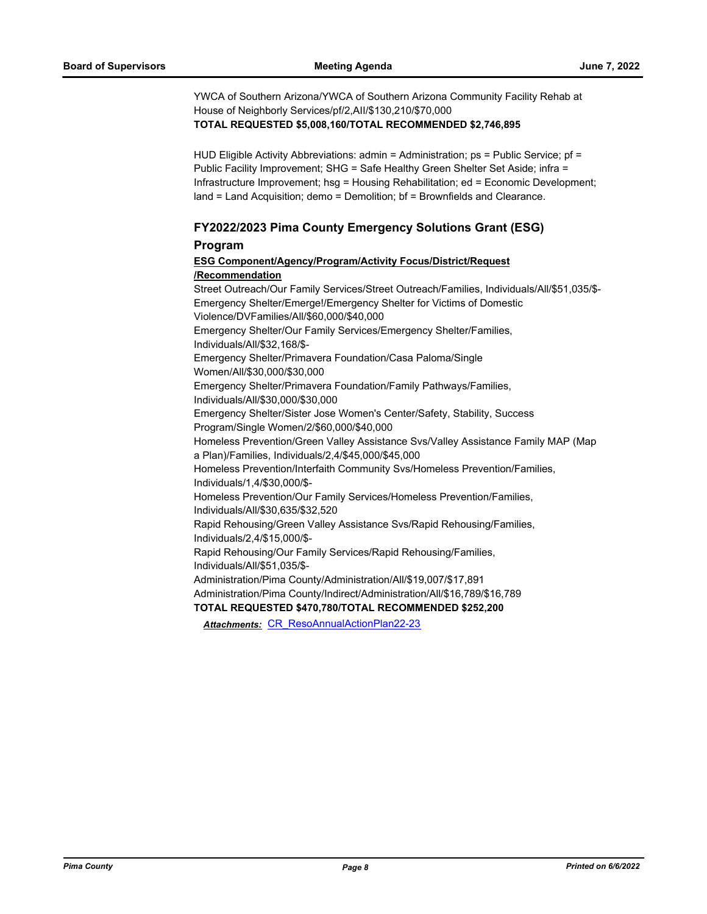YWCA of Southern Arizona/YWCA of Southern Arizona Community Facility Rehab at House of Neighborly Services/pf/2,AII/\$130,210/\$70,000 **TOTAL REQUESTED \$5,008,160/TOTAL RECOMMENDED \$2,746,895**

HUD Eligible Activity Abbreviations: admin = Administration;  $ps =$  Public Service;  $pf =$ Public Facility Improvement; SHG = Safe Healthy Green Shelter Set Aside; infra = Infrastructure Improvement; hsg = Housing Rehabilitation; ed = Economic Development; land = Land Acquisition; demo = Demolition; bf = Brownfields and Clearance.

#### **FY2022/2023 Pima County Emergency Solutions Grant (ESG) Program**

# **ESG Component/Agency/Program/Activity Focus/District/Request /Recommendation**

Street Outreach/Our Family Services/Street Outreach/Families, Individuals/All/\$51,035/\$- Emergency Shelter/Emerge!/Emergency Shelter for Victims of Domestic Violence/DVFamilies/All/\$60,000/\$40,000 Emergency Shelter/Our Family Services/Emergency Shelter/Families, Individuals/All/\$32,168/\$- Emergency Shelter/Primavera Foundation/Casa Paloma/Single Women/All/\$30,000/\$30,000 Emergency Shelter/Primavera Foundation/Family Pathways/Families, Individuals/All/\$30,000/\$30,000 Emergency Shelter/Sister Jose Women's Center/Safety, Stability, Success Program/Single Women/2/\$60,000/\$40,000 Homeless Prevention/Green Valley Assistance Svs/Valley Assistance Family MAP (Map a Plan)/Families, Individuals/2,4/\$45,000/\$45,000 Homeless Prevention/Interfaith Community Svs/Homeless Prevention/Families, Individuals/1,4/\$30,000/\$- Homeless Prevention/Our Family Services/Homeless Prevention/Families, Individuals/All/\$30,635/\$32,520 Rapid Rehousing/Green Valley Assistance Svs/Rapid Rehousing/Families, Individuals/2,4/\$15,000/\$- Rapid Rehousing/Our Family Services/Rapid Rehousing/Families, Individuals/All/\$51,035/\$- Administration/Pima County/Administration/All/\$19,007/\$17,891 Administration/Pima County/Indirect/Administration/All/\$16,789/\$16,789 **TOTAL REQUESTED \$470,780/TOTAL RECOMMENDED \$252,200**

*Attachments:* [CR\\_ResoAnnualActionPlan22-23](http://pima.legistar.com/gateway.aspx?M=F&ID=25c15138-9ab8-4db9-bc8f-53bc2b86ff10.pdf)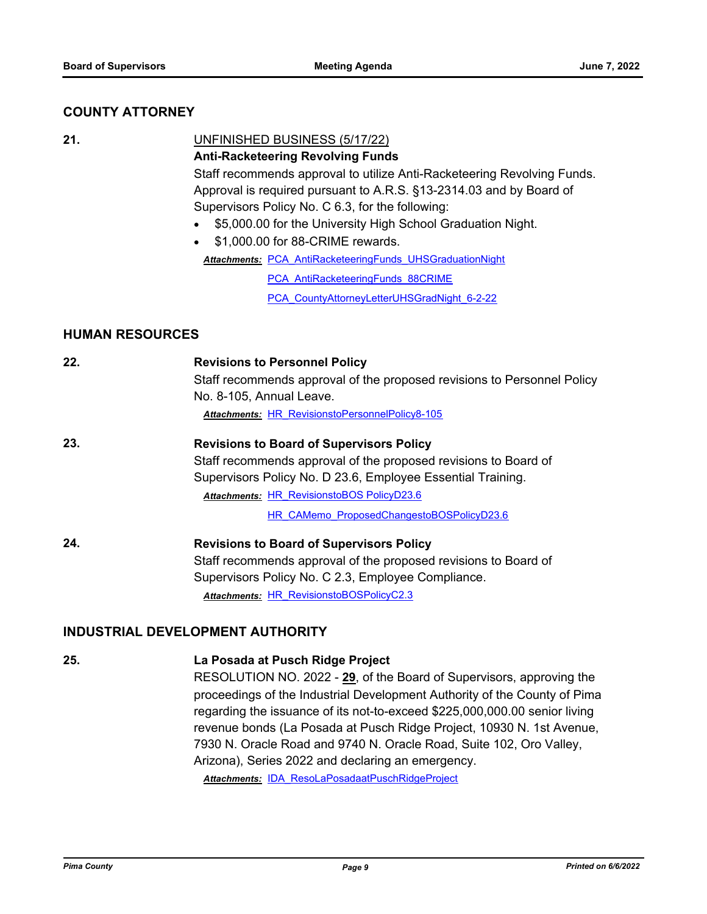#### **COUNTY ATTORNEY**

**21.** UNFINISHED BUSINESS (5/17/22)

# **Anti-Racketeering Revolving Funds**

Staff recommends approval to utilize Anti-Racketeering Revolving Funds. Approval is required pursuant to A.R.S. §13-2314.03 and by Board of Supervisors Policy No. C 6.3, for the following:

· \$5,000.00 for the University High School Graduation Night.

· \$1,000.00 for 88-CRIME rewards.

Attachments: PCA AntiRacketeeringFunds UHSGraduationNight

[PCA\\_AntiRacketeeringFunds\\_88CRIME](http://pima.legistar.com/gateway.aspx?M=F&ID=aa3ae3a9-362d-4bb9-95f3-e6d6b57bc7ab.PDF)

[PCA\\_CountyAttorneyLetterUHSGradNight\\_6-2-22](http://pima.legistar.com/gateway.aspx?M=F&ID=95d91ccc-d872-46d8-8bd2-4e8a9e419d5a.pdf)

#### **HUMAN RESOURCES**

| 22. | <b>Revisions to Personnel Policy</b><br>Staff recommends approval of the proposed revisions to Personnel Policy<br>No. 8-105, Annual Leave. |
|-----|---------------------------------------------------------------------------------------------------------------------------------------------|
|     | <b>Attachments: HR RevisionstoPersonnelPolicy8-105</b>                                                                                      |
| 23. | <b>Revisions to Board of Supervisors Policy</b>                                                                                             |
|     | Staff recommends approval of the proposed revisions to Board of                                                                             |
|     | Supervisors Policy No. D 23.6, Employee Essential Training.                                                                                 |
|     | <b>Attachments: HR RevisionstoBOS PolicyD23.6</b>                                                                                           |
|     | HR CAMemo ProposedChangestoBOSPolicyD23.6                                                                                                   |
| 24. | <b>Revisions to Board of Supervisors Policy</b>                                                                                             |
|     | Staff recommends approval of the proposed revisions to Board of                                                                             |
|     | Supervisors Policy No. C 2.3, Employee Compliance.                                                                                          |
|     | <b>Attachments: HR RevisionstoBOSPolicyC2.3</b>                                                                                             |

#### **INDUSTRIAL DEVELOPMENT AUTHORITY**

**25. La Posada at Pusch Ridge Project**

RESOLUTION NO. 2022 - **29**, of the Board of Supervisors, approving the proceedings of the Industrial Development Authority of the County of Pima regarding the issuance of its not-to-exceed \$225,000,000.00 senior living revenue bonds (La Posada at Pusch Ridge Project, 10930 N. 1st Avenue, 7930 N. Oracle Road and 9740 N. Oracle Road, Suite 102, Oro Valley, Arizona), Series 2022 and declaring an emergency. Attachments: [IDA\\_ResoLaPosadaatPuschRidgeProject](http://pima.legistar.com/gateway.aspx?M=F&ID=360ca6b1-10c8-4d8d-aa9e-18c7c8659beb.pdf)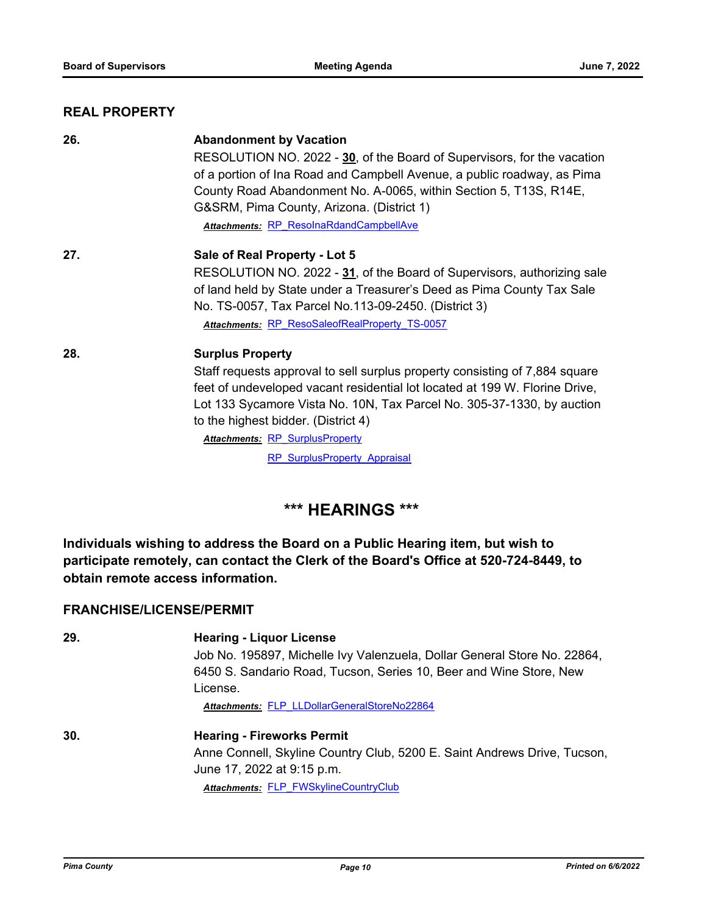#### **REAL PROPERTY**

| 26. | <b>Abandonment by Vacation</b>                                              |
|-----|-----------------------------------------------------------------------------|
|     | RESOLUTION NO. 2022 - 30, of the Board of Supervisors, for the vacation     |
|     | of a portion of Ina Road and Campbell Avenue, a public roadway, as Pima     |
|     | County Road Abandonment No. A-0065, within Section 5, T13S, R14E,           |
|     | G&SRM, Pima County, Arizona. (District 1)                                   |
|     | Attachments: RP ResolnaRdandCampbellAve                                     |
| 27. | Sale of Real Property - Lot 5                                               |
|     | RESOLUTION NO. 2022 - 31, of the Board of Supervisors, authorizing sale     |
|     | of land held by State under a Treasurer's Deed as Pima County Tax Sale      |
|     | No. TS-0057, Tax Parcel No.113-09-2450. (District 3)                        |
|     | Attachments: RP ResoSaleofRealProperty TS-0057                              |
| 28. | <b>Surplus Property</b>                                                     |
|     | Staff requests approval to sell surplus property consisting of 7,884 square |
|     | feet of undeveloped vacant residential lot located at 199 W. Florine Drive, |
|     | Lot 133 Sycamore Vista No. 10N, Tax Parcel No. 305-37-1330, by auction      |
|     | to the highest bidder. (District 4)                                         |
|     | <b>Attachments: RP SurplusProperty</b>                                      |
|     | <b>RP SurplusProperty Appraisal</b>                                         |

# **\*\*\* HEARINGS \*\*\***

**Individuals wishing to address the Board on a Public Hearing item, but wish to participate remotely, can contact the Clerk of the Board's Office at 520-724-8449, to obtain remote access information.**

#### **FRANCHISE/LICENSE/PERMIT**

| 29. | <b>Hearing - Liquor License</b>                                          |
|-----|--------------------------------------------------------------------------|
|     | Job No. 195897, Michelle Ivy Valenzuela, Dollar General Store No. 22864, |
|     | 6450 S. Sandario Road, Tucson, Series 10, Beer and Wine Store, New       |
|     | License.                                                                 |
|     | Attachments: FLP LLDollarGeneralStoreNo22864                             |
| 30. | <b>Hearing - Fireworks Permit</b>                                        |
|     | Anne Connell, Skyline Country Club, 5200 E. Saint Andrews Drive, Tucson, |
|     | June 17, 2022 at 9:15 p.m.                                               |
|     | Attachments: FLP FWSkylineCountryClub                                    |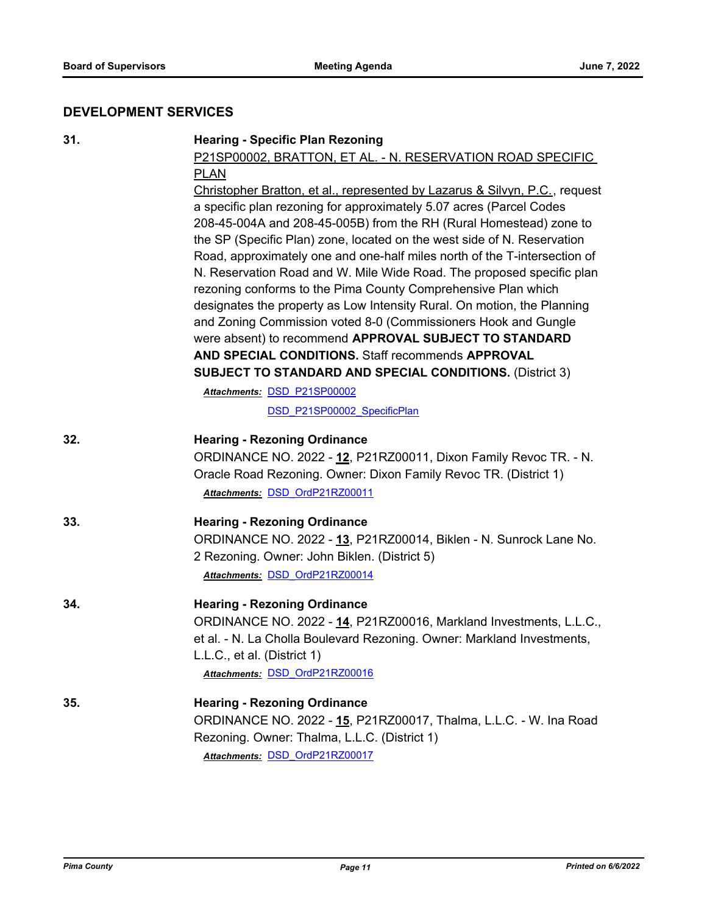# **DEVELOPMENT SERVICES**

| 31. | <b>Hearing - Specific Plan Rezoning</b><br>P21SP00002, BRATTON, ET AL. - N. RESERVATION ROAD SPECIFIC<br><b>PLAN</b><br>Christopher Bratton, et al., represented by Lazarus & Silvyn, P.C., request<br>a specific plan rezoning for approximately 5.07 acres (Parcel Codes                                                                                           |
|-----|----------------------------------------------------------------------------------------------------------------------------------------------------------------------------------------------------------------------------------------------------------------------------------------------------------------------------------------------------------------------|
|     | 208-45-004A and 208-45-005B) from the RH (Rural Homestead) zone to<br>the SP (Specific Plan) zone, located on the west side of N. Reservation<br>Road, approximately one and one-half miles north of the T-intersection of<br>N. Reservation Road and W. Mile Wide Road. The proposed specific plan<br>rezoning conforms to the Pima County Comprehensive Plan which |
|     | designates the property as Low Intensity Rural. On motion, the Planning<br>and Zoning Commission voted 8-0 (Commissioners Hook and Gungle<br>were absent) to recommend APPROVAL SUBJECT TO STANDARD<br>AND SPECIAL CONDITIONS. Staff recommends APPROVAL                                                                                                             |
|     | <b>SUBJECT TO STANDARD AND SPECIAL CONDITIONS. (District 3)</b>                                                                                                                                                                                                                                                                                                      |
|     | Attachments: DSD P21SP00002                                                                                                                                                                                                                                                                                                                                          |
|     | DSD P21SP00002 SpecificPlan                                                                                                                                                                                                                                                                                                                                          |
| 32. | <b>Hearing - Rezoning Ordinance</b><br>ORDINANCE NO. 2022 - 12, P21RZ00011, Dixon Family Revoc TR. - N.<br>Oracle Road Rezoning. Owner: Dixon Family Revoc TR. (District 1)<br>Attachments: DSD OrdP21RZ00011                                                                                                                                                        |
| 33. | <b>Hearing - Rezoning Ordinance</b><br>ORDINANCE NO. 2022 - 13, P21RZ00014, Biklen - N. Sunrock Lane No.<br>2 Rezoning. Owner: John Biklen. (District 5)<br>Attachments: DSD OrdP21RZ00014                                                                                                                                                                           |
| 34. | <b>Hearing - Rezoning Ordinance</b><br>ORDINANCE NO. 2022 - 14, P21RZ00016, Markland Investments, L.L.C.,<br>et al. - N. La Cholla Boulevard Rezoning. Owner: Markland Investments,<br>L.L.C., et al. (District 1)<br>Attachments: DSD OrdP21RZ00016                                                                                                                 |
| 35. | <b>Hearing - Rezoning Ordinance</b><br>ORDINANCE NO. 2022 - 15, P21RZ00017, Thalma, L.L.C. - W. Ina Road<br>Rezoning. Owner: Thalma, L.L.C. (District 1)<br>Attachments: DSD OrdP21RZ00017                                                                                                                                                                           |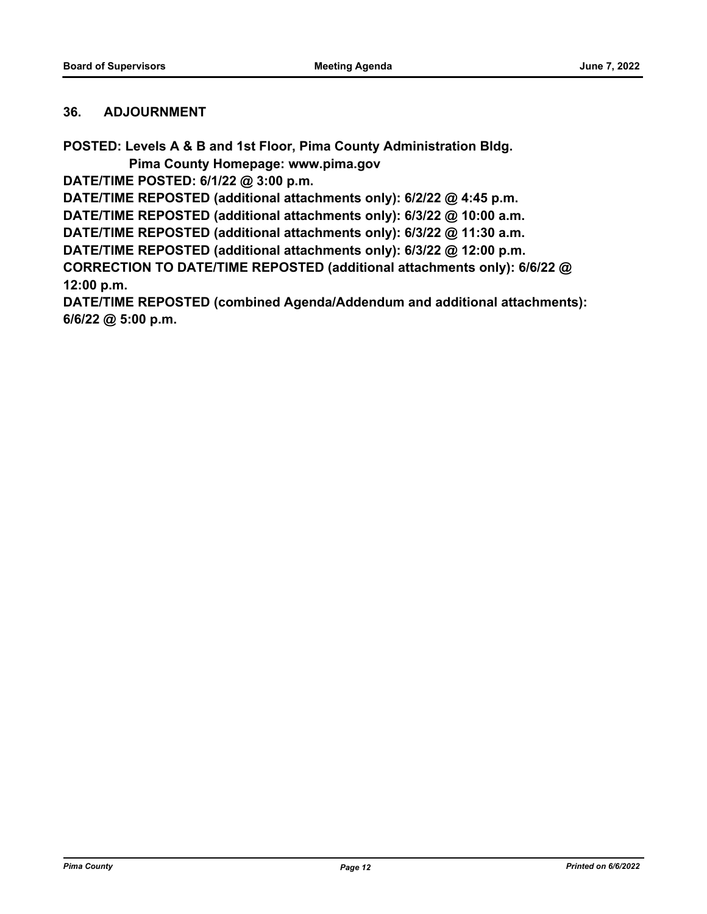#### **36. ADJOURNMENT**

**POSTED: Levels A & B and 1st Floor, Pima County Administration Bldg.**

 **Pima County Homepage: www.pima.gov**

**DATE/TIME POSTED: 6/1/22 @ 3:00 p.m.**

**DATE/TIME REPOSTED (additional attachments only): 6/2/22 @ 4:45 p.m.**

**DATE/TIME REPOSTED (additional attachments only): 6/3/22 @ 10:00 a.m.**

**DATE/TIME REPOSTED (additional attachments only): 6/3/22 @ 11:30 a.m.**

**DATE/TIME REPOSTED (additional attachments only): 6/3/22 @ 12:00 p.m.**

**CORRECTION TO DATE/TIME REPOSTED (additional attachments only): 6/6/22 @ 12:00 p.m.**

**DATE/TIME REPOSTED (combined Agenda/Addendum and additional attachments): 6/6/22 @ 5:00 p.m.**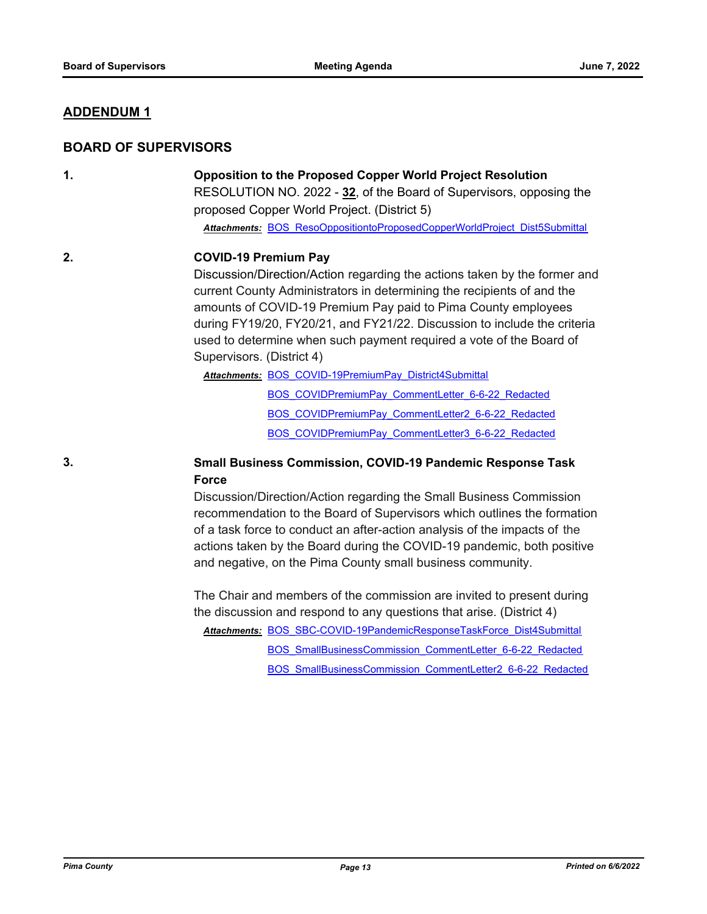#### **ADDENDUM 1**

#### **BOARD OF SUPERVISORS**

### **1. Opposition to the Proposed Copper World Project Resolution**

RESOLUTION NO. 2022 - **32**, of the Board of Supervisors, opposing the proposed Copper World Project. (District 5)

*Attachments:* [BOS\\_ResoOppositiontoProposedCopperWorldProject\\_Dist5Submittal](http://pima.legistar.com/gateway.aspx?M=F&ID=cb68b07a-219e-4c50-bc61-98310f3f89ea.pdf)

#### **2. COVID-19 Premium Pay**

Discussion/Direction/Action regarding the actions taken by the former and current County Administrators in determining the recipients of and the amounts of COVID-19 Premium Pay paid to Pima County employees during FY19/20, FY20/21, and FY21/22. Discussion to include the criteria used to determine when such payment required a vote of the Board of Supervisors. (District 4)

Attachments: **BOS COVID-19PremiumPay District4Submittal** 

[BOS\\_COVIDPremiumPay\\_CommentLetter\\_6-6-22\\_Redacted](http://pima.legistar.com/gateway.aspx?M=F&ID=b16bc877-10c0-4724-9905-2cba85fdf3d4.pdf) [BOS\\_COVIDPremiumPay\\_CommentLetter2\\_6-6-22\\_Redacted](http://pima.legistar.com/gateway.aspx?M=F&ID=1cd955af-9ee8-45c6-9011-85d3619c942e.pdf) [BOS\\_COVIDPremiumPay\\_CommentLetter3\\_6-6-22\\_Redacted](http://pima.legistar.com/gateway.aspx?M=F&ID=1b55e9cb-43eb-405f-929a-f1d47e6ac763.pdf)

#### **3. Small Business Commission, COVID-19 Pandemic Response Task Force**

Discussion/Direction/Action regarding the Small Business Commission recommendation to the Board of Supervisors which outlines the formation of a task force to conduct an after-action analysis of the impacts of the actions taken by the Board during the COVID-19 pandemic, both positive and negative, on the Pima County small business community.

The Chair and members of the commission are invited to present during the discussion and respond to any questions that arise. (District 4)

[BOS\\_SBC-COVID-19PandemicResponseTaskForce\\_Dist4Submittal](http://pima.legistar.com/gateway.aspx?M=F&ID=6c96555e-88d2-4c06-af51-8f4c3d46dc57.pdf) *Attachments:*

[BOS\\_SmallBusinessCommission\\_CommentLetter\\_6-6-22\\_Redacted](http://pima.legistar.com/gateway.aspx?M=F&ID=b6c9b509-83e1-429d-beae-ff282ef6910d.pdf)

[BOS\\_SmallBusinessCommission\\_CommentLetter2\\_6-6-22\\_Redacted](http://pima.legistar.com/gateway.aspx?M=F&ID=cebd99db-4d8c-4247-b09a-0dac877ba789.pdf)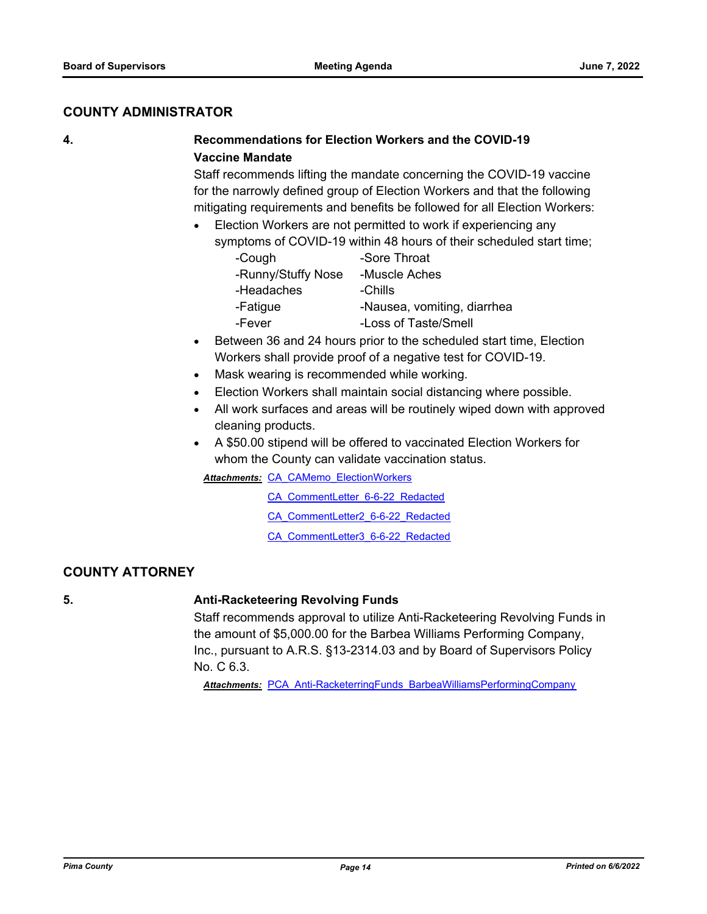#### **COUNTY ADMINISTRATOR**

#### **4. Recommendations for Election Workers and the COVID-19 Vaccine Mandate**

Staff recommends lifting the mandate concerning the COVID-19 vaccine for the narrowly defined group of Election Workers and that the following mitigating requirements and benefits be followed for all Election Workers:

#### · Election Workers are not permitted to work if experiencing any symptoms of COVID-19 within 48 hours of their scheduled start time;

| -Cough             | -Sore Throat                |
|--------------------|-----------------------------|
| -Runny/Stuffy Nose | -Muscle Aches               |
| -Headaches         | -Chills                     |
| -Fatigue           | -Nausea, vomiting, diarrhea |
| -Fever             | -Loss of Taste/Smell        |

- · Between 36 and 24 hours prior to the scheduled start time, Election Workers shall provide proof of a negative test for COVID-19.
- · Mask wearing is recommended while working.
- Election Workers shall maintain social distancing where possible.
- · All work surfaces and areas will be routinely wiped down with approved cleaning products.
- · A \$50.00 stipend will be offered to vaccinated Election Workers for whom the County can validate vaccination status.

**Attachments: CA CAMemo ElectionWorkers** 

[CA\\_CommentLetter\\_6-6-22\\_Redacted](http://pima.legistar.com/gateway.aspx?M=F&ID=a4b1699a-3c94-4282-bc4e-7ed6f1945c95.pdf)

[CA\\_CommentLetter2\\_6-6-22\\_Redacted](http://pima.legistar.com/gateway.aspx?M=F&ID=25fced0c-1108-4e9c-b65f-fa3c2038e6d2.pdf)

[CA\\_CommentLetter3\\_6-6-22\\_Redacted](http://pima.legistar.com/gateway.aspx?M=F&ID=446462f8-1a38-488c-8f05-1acc2116c144.pdf)

#### **COUNTY ATTORNEY**

#### **5. Anti-Racketeering Revolving Funds**

Staff recommends approval to utilize Anti-Racketeering Revolving Funds in the amount of \$5,000.00 for the Barbea Williams Performing Company, Inc., pursuant to A.R.S. §13-2314.03 and by Board of Supervisors Policy No. C 6.3.

*Attachments:* [PCA\\_Anti-RacketerringFunds\\_BarbeaWilliamsPerformingCompany](http://pima.legistar.com/gateway.aspx?M=F&ID=826b7925-29eb-4fc9-ba53-47bd5eaea1ba.PDF)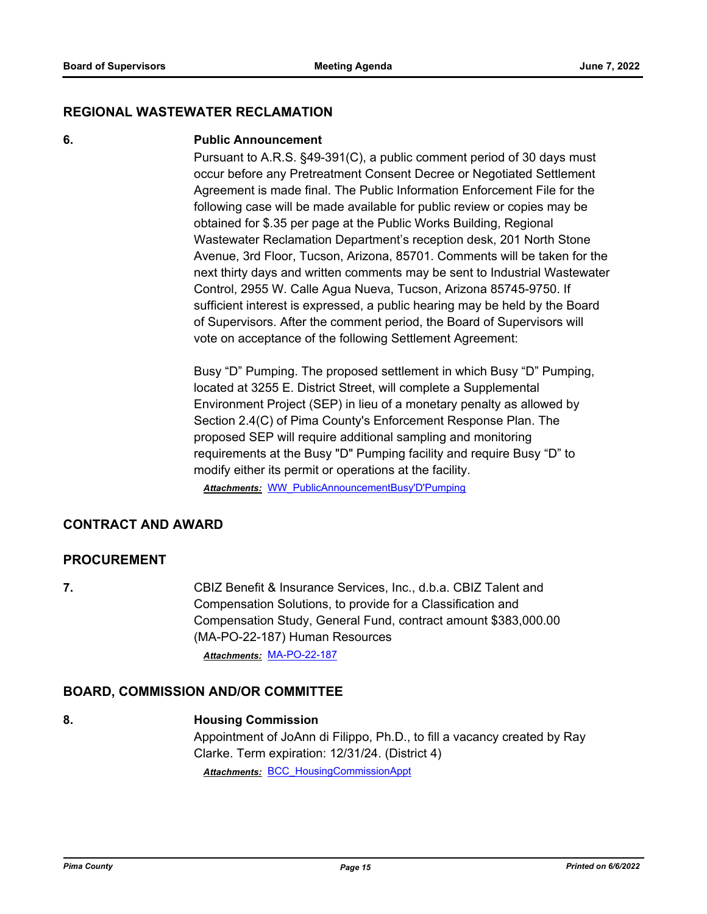#### **REGIONAL WASTEWATER RECLAMATION**

#### **6. Public Announcement**

Pursuant to A.R.S. §49-391(C), a public comment period of 30 days must occur before any Pretreatment Consent Decree or Negotiated Settlement Agreement is made final. The Public Information Enforcement File for the following case will be made available for public review or copies may be obtained for \$.35 per page at the Public Works Building, Regional Wastewater Reclamation Department's reception desk, 201 North Stone Avenue, 3rd Floor, Tucson, Arizona, 85701. Comments will be taken for the next thirty days and written comments may be sent to Industrial Wastewater Control, 2955 W. Calle Agua Nueva, Tucson, Arizona 85745-9750. If sufficient interest is expressed, a public hearing may be held by the Board of Supervisors. After the comment period, the Board of Supervisors will vote on acceptance of the following Settlement Agreement:

Busy "D" Pumping. The proposed settlement in which Busy "D" Pumping, located at 3255 E. District Street, will complete a Supplemental Environment Project (SEP) in lieu of a monetary penalty as allowed by Section 2.4(C) of Pima County's Enforcement Response Plan. The proposed SEP will require additional sampling and monitoring requirements at the Busy "D" Pumping facility and require Busy "D" to modify either its permit or operations at the facility.

*Attachments:* [WW\\_PublicAnnouncementBusy'D'Pumping](http://pima.legistar.com/gateway.aspx?M=F&ID=ec04b9e5-ed3b-44ca-a98a-7f4485b9b1f4.pdf)

#### **CONTRACT AND AWARD**

#### **PROCUREMENT**

**7.** CBIZ Benefit & Insurance Services, Inc., d.b.a. CBIZ Talent and Compensation Solutions, to provide for a Classification and Compensation Study, General Fund, contract amount \$383,000.00 (MA-PO-22-187) Human Resources *Attachments:* [MA-PO-22-187](http://pima.legistar.com/gateway.aspx?M=F&ID=0d72d825-5373-49d5-83de-e9dd2bea5e33.pdf)

#### **BOARD, COMMISSION AND/OR COMMITTEE**

#### **8. Housing Commission**

Appointment of JoAnn di Filippo, Ph.D., to fill a vacancy created by Ray Clarke. Term expiration: 12/31/24. (District 4) *Attachments:* [BCC\\_HousingCommissionAppt](http://pima.legistar.com/gateway.aspx?M=F&ID=9f54a0e3-0808-4b9a-bbe2-086d736f09dc.pdf)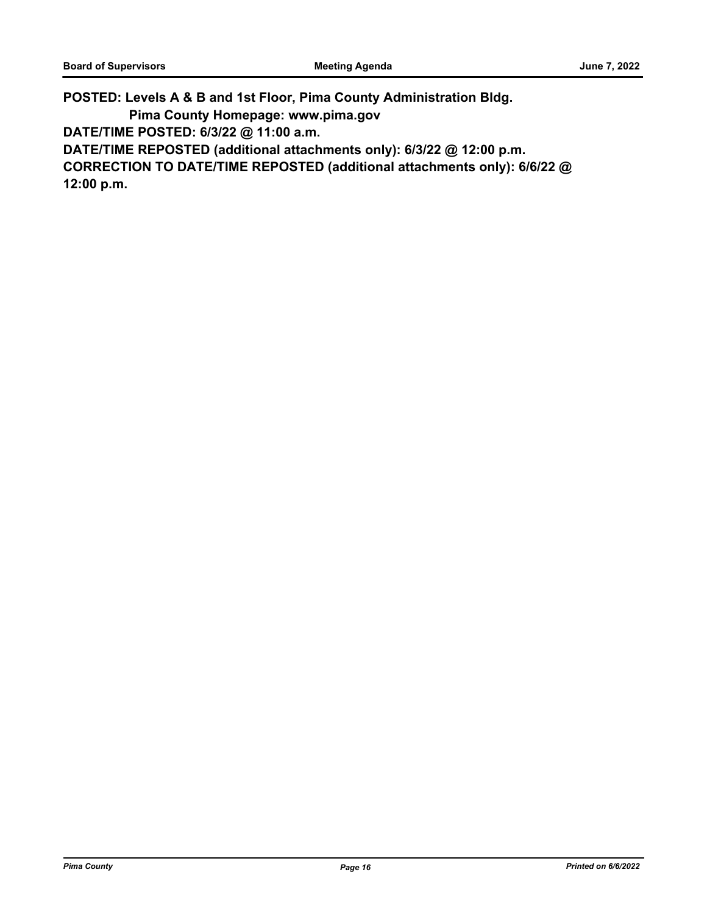**POSTED: Levels A & B and 1st Floor, Pima County Administration Bldg.**

 **Pima County Homepage: www.pima.gov**

**DATE/TIME POSTED: 6/3/22 @ 11:00 a.m.**

**DATE/TIME REPOSTED (additional attachments only): 6/3/22 @ 12:00 p.m.**

**CORRECTION TO DATE/TIME REPOSTED (additional attachments only): 6/6/22 @ 12:00 p.m.**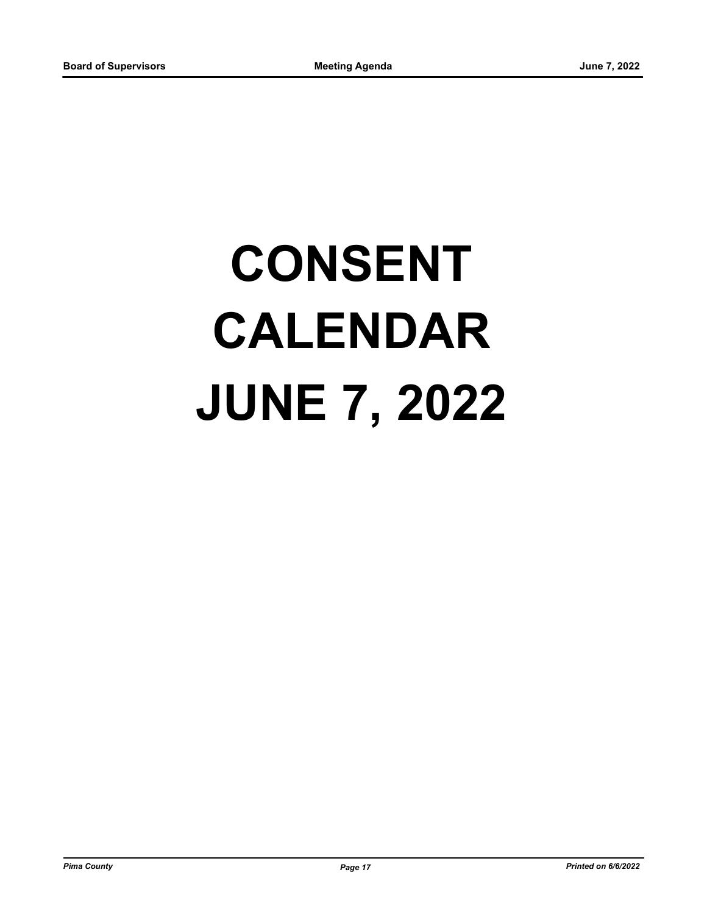# **CONSENT CALENDAR JUNE 7, 2022**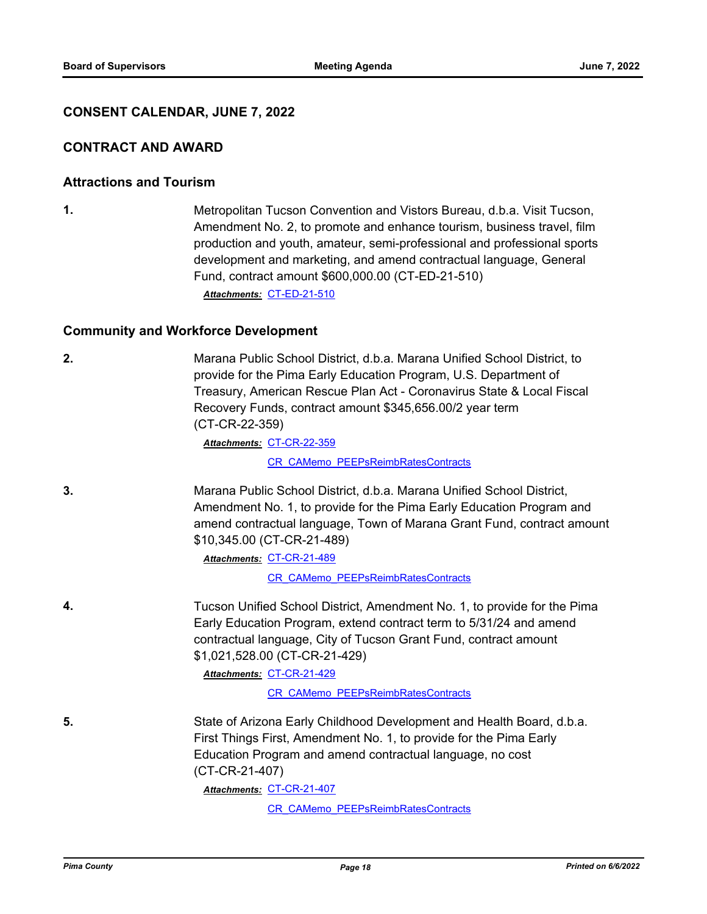#### **CONSENT CALENDAR, JUNE 7, 2022**

#### **CONTRACT AND AWARD**

#### **Attractions and Tourism**

**1.** Metropolitan Tucson Convention and Vistors Bureau, d.b.a. Visit Tucson, Amendment No. 2, to promote and enhance tourism, business travel, film production and youth, amateur, semi-professional and professional sports development and marketing, and amend contractual language, General Fund, contract amount \$600,000.00 (CT-ED-21-510)

*Attachments:* [CT-ED-21-510](http://pima.legistar.com/gateway.aspx?M=F&ID=599bb1e7-2ddd-4bfd-a61f-78e3292abf5c.pdf)

#### **Community and Workforce Development**

| 2. | Marana Public School District, d.b.a. Marana Unified School District, to<br>provide for the Pima Early Education Program, U.S. Department of<br>Treasury, American Rescue Plan Act - Coronavirus State & Local Fiscal<br>Recovery Funds, contract amount \$345,656.00/2 year term<br>(CT-CR-22-359) |
|----|-----------------------------------------------------------------------------------------------------------------------------------------------------------------------------------------------------------------------------------------------------------------------------------------------------|
|    | Attachments: CT-CR-22-359                                                                                                                                                                                                                                                                           |
|    | <b>CR CAMemo PEEPsReimbRatesContracts</b>                                                                                                                                                                                                                                                           |
| 3. | Marana Public School District, d.b.a. Marana Unified School District,<br>Amendment No. 1, to provide for the Pima Early Education Program and<br>amend contractual language, Town of Marana Grant Fund, contract amount<br>\$10,345.00 (CT-CR-21-489)                                               |
|    | Attachments: CT-CR-21-489                                                                                                                                                                                                                                                                           |
|    | CR CAMemo PEEPsReimbRatesContracts                                                                                                                                                                                                                                                                  |
| 4. | Tucson Unified School District, Amendment No. 1, to provide for the Pima<br>Early Education Program, extend contract term to 5/31/24 and amend<br>contractual language, City of Tucson Grant Fund, contract amount<br>\$1,021,528.00 (CT-CR-21-429)                                                 |
|    | Attachments: CT-CR-21-429                                                                                                                                                                                                                                                                           |
|    | <b>CR CAMemo PEEPsReimbRatesContracts</b>                                                                                                                                                                                                                                                           |
| 5. | State of Arizona Early Childhood Development and Health Board, d.b.a.<br>First Things First, Amendment No. 1, to provide for the Pima Early<br>Education Program and amend contractual language, no cost<br>(CT-CR-21-407)                                                                          |
|    | Attachments: CT-CR-21-407                                                                                                                                                                                                                                                                           |
|    | CR CAMemo PEEPsReimbRatesContracts                                                                                                                                                                                                                                                                  |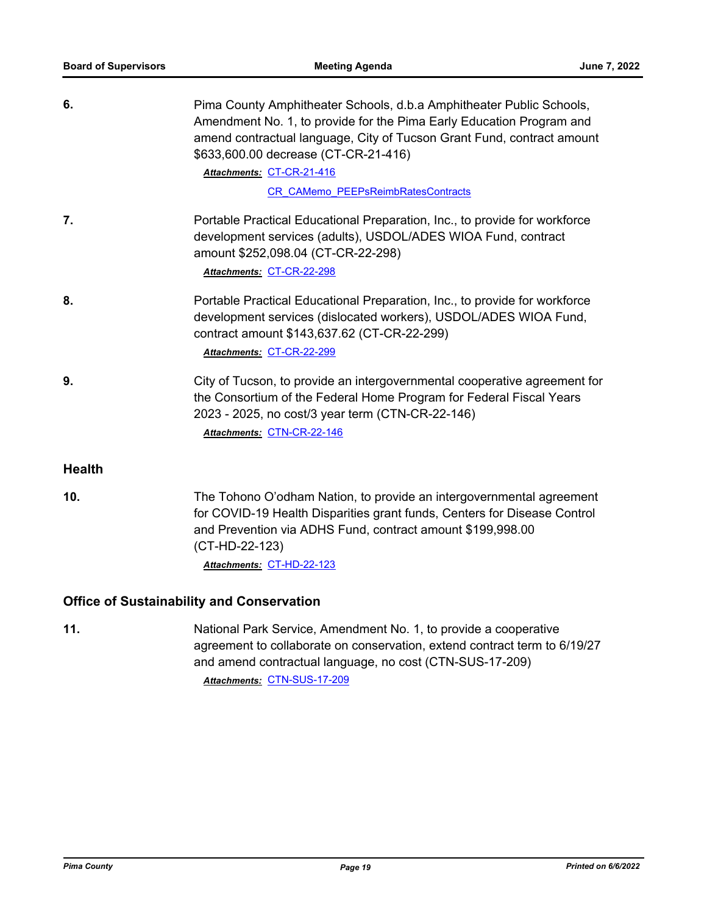| 6.            | Pima County Amphitheater Schools, d.b.a Amphitheater Public Schools,<br>Amendment No. 1, to provide for the Pima Early Education Program and<br>amend contractual language, City of Tucson Grant Fund, contract amount<br>\$633,600.00 decrease (CT-CR-21-416)<br>Attachments: CT-CR-21-416<br><b>CR CAMemo PEEPsReimbRatesContracts</b> |
|---------------|------------------------------------------------------------------------------------------------------------------------------------------------------------------------------------------------------------------------------------------------------------------------------------------------------------------------------------------|
| 7.            | Portable Practical Educational Preparation, Inc., to provide for workforce<br>development services (adults), USDOL/ADES WIOA Fund, contract<br>amount \$252,098.04 (CT-CR-22-298)<br>Attachments: CT-CR-22-298                                                                                                                           |
| 8.            | Portable Practical Educational Preparation, Inc., to provide for workforce<br>development services (dislocated workers), USDOL/ADES WIOA Fund,<br>contract amount \$143,637.62 (CT-CR-22-299)<br>Attachments: CT-CR-22-299                                                                                                               |
| 9.            | City of Tucson, to provide an intergovernmental cooperative agreement for<br>the Consortium of the Federal Home Program for Federal Fiscal Years<br>2023 - 2025, no cost/3 year term (CTN-CR-22-146)<br>Attachments: CTN-CR-22-146                                                                                                       |
| <b>Health</b> |                                                                                                                                                                                                                                                                                                                                          |
| 10.           | The Tohono O'odham Nation, to provide an intergovernmental agreement<br>for COVID-19 Health Disparities grant funds, Centers for Disease Control<br>and Prevention via ADHS Fund, contract amount \$199,998.00<br>(CT-HD-22-123)<br>Attachments: CT-HD-22-123                                                                            |
|               | <b>Office of Sustainability and Conservation</b>                                                                                                                                                                                                                                                                                         |
| 11.           | National Park Service, Amendment No. 1, to provide a cooperative<br>agreement to collaborate on conservation, extend contract term to 6/19/27                                                                                                                                                                                            |

agreement to collaborate on conservation, extend contract term to 6/19/27 and amend contractual language, no cost (CTN-SUS-17-209) *Attachments:* [CTN-SUS-17-209](http://pima.legistar.com/gateway.aspx?M=F&ID=0f6eec3f-6bd4-48b3-b5c5-2f4ac615a1d9.pdf)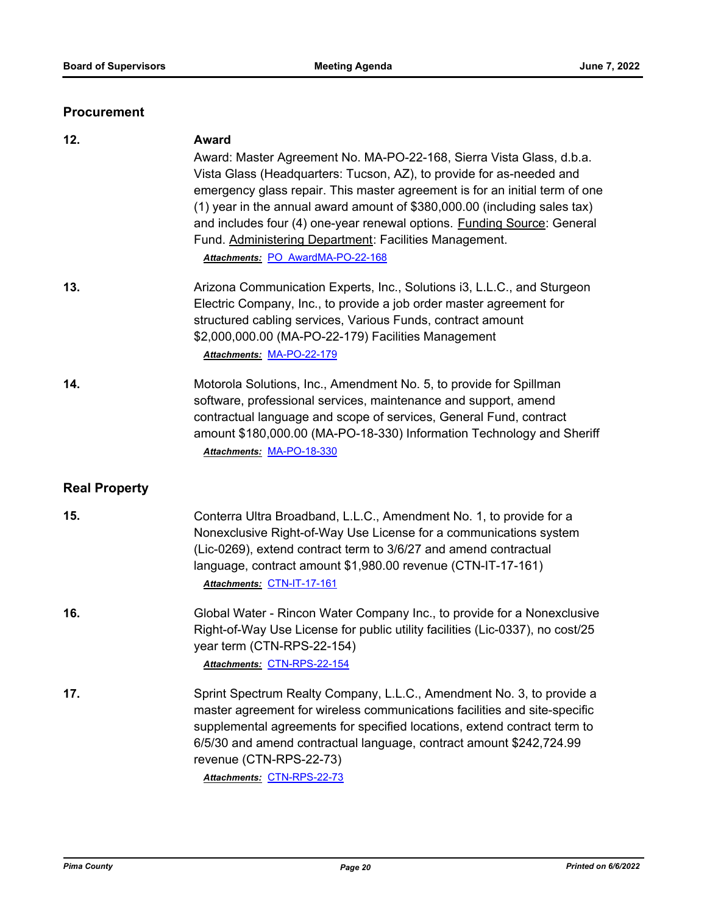#### **Procurement**

| 12.                  | <b>Award</b><br>Award: Master Agreement No. MA-PO-22-168, Sierra Vista Glass, d.b.a.<br>Vista Glass (Headquarters: Tucson, AZ), to provide for as-needed and<br>emergency glass repair. This master agreement is for an initial term of one<br>(1) year in the annual award amount of \$380,000.00 (including sales tax)<br>and includes four (4) one-year renewal options. Funding Source: General<br>Fund. Administering Department: Facilities Management.<br>Attachments: PO AwardMA-PO-22-168 |
|----------------------|----------------------------------------------------------------------------------------------------------------------------------------------------------------------------------------------------------------------------------------------------------------------------------------------------------------------------------------------------------------------------------------------------------------------------------------------------------------------------------------------------|
| 13.                  | Arizona Communication Experts, Inc., Solutions i3, L.L.C., and Sturgeon<br>Electric Company, Inc., to provide a job order master agreement for<br>structured cabling services, Various Funds, contract amount<br>\$2,000,000.00 (MA-PO-22-179) Facilities Management<br>Attachments: MA-PO-22-179                                                                                                                                                                                                  |
| 14.                  | Motorola Solutions, Inc., Amendment No. 5, to provide for Spillman<br>software, professional services, maintenance and support, amend<br>contractual language and scope of services, General Fund, contract<br>amount \$180,000.00 (MA-PO-18-330) Information Technology and Sheriff<br>Attachments: MA-PO-18-330                                                                                                                                                                                  |
| <b>Real Property</b> |                                                                                                                                                                                                                                                                                                                                                                                                                                                                                                    |
| 15.                  | Conterra Ultra Broadband, L.L.C., Amendment No. 1, to provide for a<br>Nonexclusive Right-of-Way Use License for a communications system<br>(Lic-0269), extend contract term to 3/6/27 and amend contractual<br>language, contract amount \$1,980.00 revenue (CTN-IT-17-161)<br>Attachments: CTN-IT-17-161                                                                                                                                                                                         |
| 16.                  | Global Water - Rincon Water Company Inc., to provide for a Nonexclusive<br>Right-of-Way Use License for public utility facilities (Lic-0337), no cost/25<br>year term (CTN-RPS-22-154)<br>Attachments: CTN-RPS-22-154                                                                                                                                                                                                                                                                              |
| 17.                  | Sprint Spectrum Realty Company, L.L.C., Amendment No. 3, to provide a<br>master agreement for wireless communications facilities and site-specific<br>supplemental agreements for specified locations, extend contract term to<br>6/5/30 and amend contractual language, contract amount \$242,724.99<br>revenue (CTN-RPS-22-73)<br>Attachments: CTN-RPS-22-73                                                                                                                                     |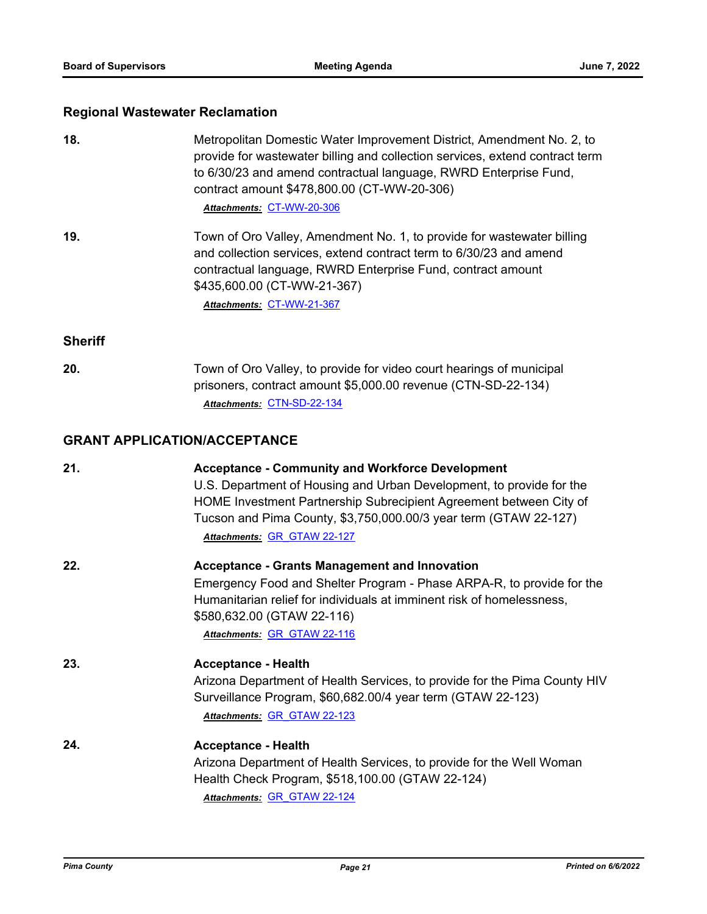# **Regional Wastewater Reclamation**

| 18.            | Metropolitan Domestic Water Improvement District, Amendment No. 2, to<br>provide for wastewater billing and collection services, extend contract term<br>to 6/30/23 and amend contractual language, RWRD Enterprise Fund,<br>contract amount \$478,800.00 (CT-WW-20-306)<br>Attachments: CT-WW-20-306    |
|----------------|----------------------------------------------------------------------------------------------------------------------------------------------------------------------------------------------------------------------------------------------------------------------------------------------------------|
| 19.            | Town of Oro Valley, Amendment No. 1, to provide for wastewater billing<br>and collection services, extend contract term to 6/30/23 and amend<br>contractual language, RWRD Enterprise Fund, contract amount<br>\$435,600.00 (CT-WW-21-367)<br>Attachments: CT-WW-21-367                                  |
| <b>Sheriff</b> |                                                                                                                                                                                                                                                                                                          |
| 20.            | Town of Oro Valley, to provide for video court hearings of municipal<br>prisoners, contract amount \$5,000.00 revenue (CTN-SD-22-134)<br>Attachments: CTN-SD-22-134                                                                                                                                      |
|                | <b>GRANT APPLICATION/ACCEPTANCE</b>                                                                                                                                                                                                                                                                      |
| 21.            | <b>Acceptance - Community and Workforce Development</b><br>U.S. Department of Housing and Urban Development, to provide for the<br>HOME Investment Partnership Subrecipient Agreement between City of<br>Tucson and Pima County, \$3,750,000.00/3 year term (GTAW 22-127)<br>Attachments: GR GTAW 22-127 |
| 22.            | <b>Acceptance - Grants Management and Innovation</b><br>Emergency Food and Shelter Program - Phase ARPA-R, to provide for the<br>Humanitarian relief for individuals at imminent risk of homelessness,<br>\$580,632.00 (GTAW 22-116)<br>Attachments: GR_GTAW 22-116                                      |
| 23.            | <b>Acceptance - Health</b><br>Arizona Department of Health Services, to provide for the Pima County HIV<br>Surveillance Program, \$60,682.00/4 year term (GTAW 22-123)<br>Attachments: GR GTAW 22-123                                                                                                    |
| 24.            | <b>Acceptance - Health</b><br>Arizona Department of Health Services, to provide for the Well Woman<br>Health Check Program, \$518,100.00 (GTAW 22-124)<br>Attachments: GR_GTAW 22-124                                                                                                                    |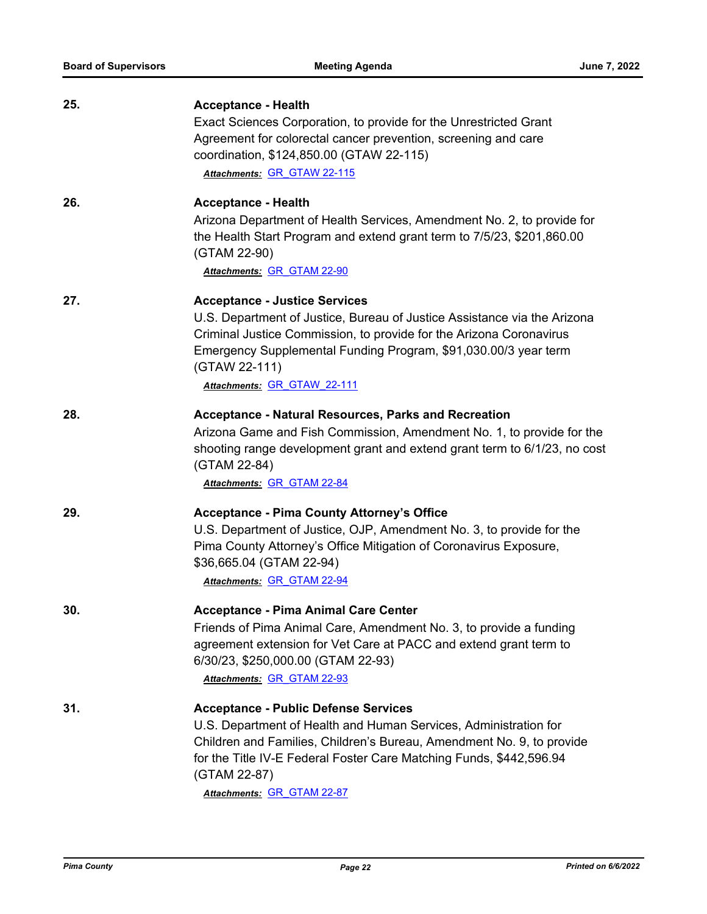| 25. | <b>Acceptance - Health</b>                                                                                                                                                                                                          |
|-----|-------------------------------------------------------------------------------------------------------------------------------------------------------------------------------------------------------------------------------------|
|     | Exact Sciences Corporation, to provide for the Unrestricted Grant                                                                                                                                                                   |
|     | Agreement for colorectal cancer prevention, screening and care                                                                                                                                                                      |
|     | coordination, \$124,850.00 (GTAW 22-115)                                                                                                                                                                                            |
|     | Attachments: GR GTAW 22-115                                                                                                                                                                                                         |
| 26. | <b>Acceptance - Health</b>                                                                                                                                                                                                          |
|     | Arizona Department of Health Services, Amendment No. 2, to provide for<br>the Health Start Program and extend grant term to 7/5/23, \$201,860.00<br>(GTAM 22-90)                                                                    |
|     | Attachments: GR GTAM 22-90                                                                                                                                                                                                          |
| 27. | <b>Acceptance - Justice Services</b>                                                                                                                                                                                                |
|     | U.S. Department of Justice, Bureau of Justice Assistance via the Arizona<br>Criminal Justice Commission, to provide for the Arizona Coronavirus<br>Emergency Supplemental Funding Program, \$91,030.00/3 year term<br>(GTAW 22-111) |
|     | Attachments: GR GTAW 22-111                                                                                                                                                                                                         |
| 28. | <b>Acceptance - Natural Resources, Parks and Recreation</b>                                                                                                                                                                         |
|     | Arizona Game and Fish Commission, Amendment No. 1, to provide for the<br>shooting range development grant and extend grant term to 6/1/23, no cost<br>(GTAM 22-84)                                                                  |
|     | Attachments: GR GTAM 22-84                                                                                                                                                                                                          |
| 29. | <b>Acceptance - Pima County Attorney's Office</b>                                                                                                                                                                                   |
|     | U.S. Department of Justice, OJP, Amendment No. 3, to provide for the                                                                                                                                                                |
|     | Pima County Attorney's Office Mitigation of Coronavirus Exposure,                                                                                                                                                                   |
|     | \$36,665.04 (GTAM 22-94)                                                                                                                                                                                                            |
|     | Attachments: GR GTAM 22-94                                                                                                                                                                                                          |
| 30. | <b>Acceptance - Pima Animal Care Center</b>                                                                                                                                                                                         |
|     | Friends of Pima Animal Care, Amendment No. 3, to provide a funding                                                                                                                                                                  |
|     | agreement extension for Vet Care at PACC and extend grant term to                                                                                                                                                                   |
|     | 6/30/23, \$250,000.00 (GTAM 22-93)                                                                                                                                                                                                  |
|     | Attachments: GR GTAM 22-93                                                                                                                                                                                                          |
| 31. | <b>Acceptance - Public Defense Services</b>                                                                                                                                                                                         |
|     | U.S. Department of Health and Human Services, Administration for                                                                                                                                                                    |
|     | Children and Families, Children's Bureau, Amendment No. 9, to provide<br>for the Title IV-E Federal Foster Care Matching Funds, \$442,596.94<br>(GTAM 22-87)                                                                        |
|     | Attachments: GR GTAM 22-87                                                                                                                                                                                                          |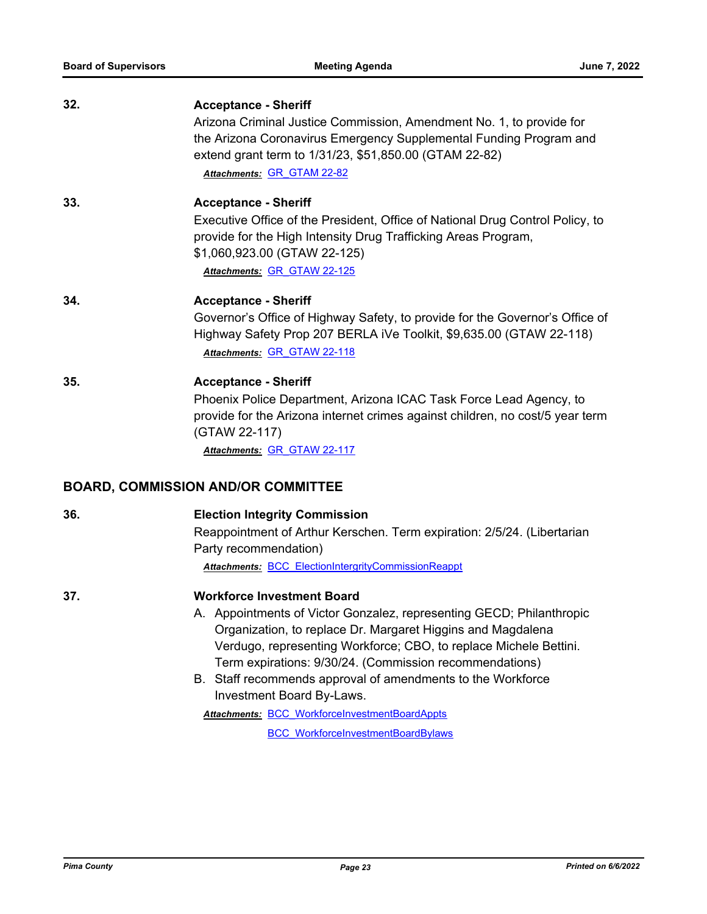| 32. | <b>Acceptance - Sheriff</b><br>Arizona Criminal Justice Commission, Amendment No. 1, to provide for<br>the Arizona Coronavirus Emergency Supplemental Funding Program and<br>extend grant term to 1/31/23, \$51,850.00 (GTAM 22-82)<br>Attachments: GR GTAM 22-82                                                                                                                                                                                                                                          |
|-----|------------------------------------------------------------------------------------------------------------------------------------------------------------------------------------------------------------------------------------------------------------------------------------------------------------------------------------------------------------------------------------------------------------------------------------------------------------------------------------------------------------|
| 33. | <b>Acceptance - Sheriff</b><br>Executive Office of the President, Office of National Drug Control Policy, to<br>provide for the High Intensity Drug Trafficking Areas Program,<br>\$1,060,923.00 (GTAW 22-125)<br>Attachments: GR GTAW 22-125                                                                                                                                                                                                                                                              |
| 34. | <b>Acceptance - Sheriff</b><br>Governor's Office of Highway Safety, to provide for the Governor's Office of<br>Highway Safety Prop 207 BERLA iVe Toolkit, \$9,635.00 (GTAW 22-118)<br>Attachments: GR GTAW 22-118                                                                                                                                                                                                                                                                                          |
| 35. | <b>Acceptance - Sheriff</b><br>Phoenix Police Department, Arizona ICAC Task Force Lead Agency, to<br>provide for the Arizona internet crimes against children, no cost/5 year term<br>(GTAW 22-117)<br>Attachments: GR GTAW 22-117                                                                                                                                                                                                                                                                         |
|     | <b>BOARD, COMMISSION AND/OR COMMITTEE</b>                                                                                                                                                                                                                                                                                                                                                                                                                                                                  |
| 36. | <b>Election Integrity Commission</b><br>Reappointment of Arthur Kerschen. Term expiration: 2/5/24. (Libertarian<br>Party recommendation)<br><b>Attachments: BCC ElectionIntergrityCommissionReappt</b>                                                                                                                                                                                                                                                                                                     |
| 37. | <b>Workforce Investment Board</b><br>A. Appointments of Victor Gonzalez, representing GECD; Philanthropic<br>Organization, to replace Dr. Margaret Higgins and Magdalena<br>Verdugo, representing Workforce; CBO, to replace Michele Bettini.<br>Term expirations: 9/30/24. (Commission recommendations)<br>B. Staff recommends approval of amendments to the Workforce<br>Investment Board By-Laws.<br><b>Attachments: BCC WorkforceInvestmentBoardAppts</b><br><b>BCC WorkforceInvestmentBoardBylaws</b> |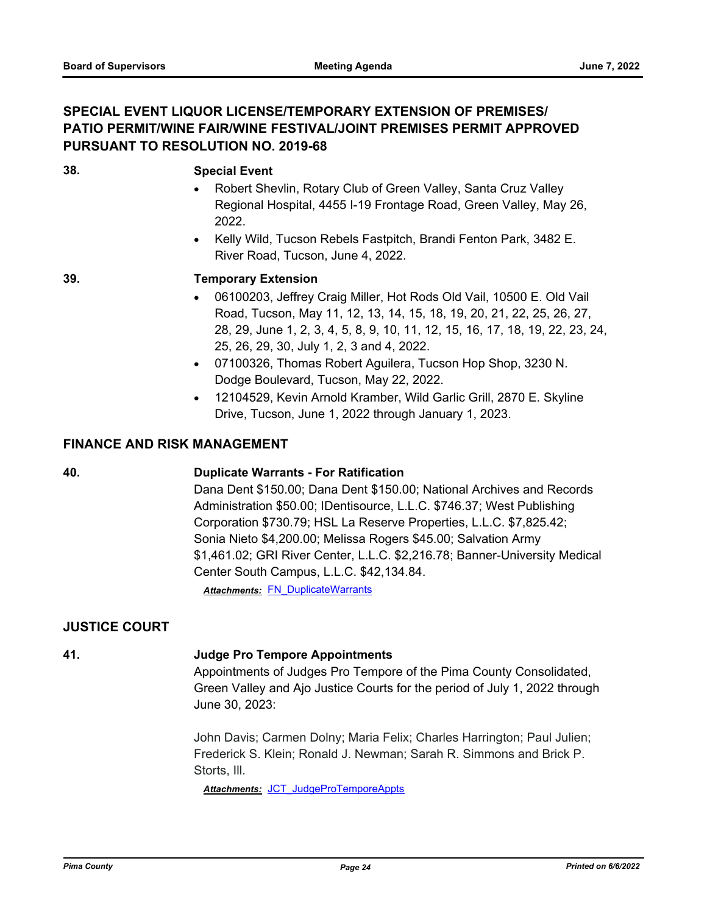#### **SPECIAL EVENT LIQUOR LICENSE/TEMPORARY EXTENSION OF PREMISES/ PATIO PERMIT/WINE FAIR/WINE FESTIVAL/JOINT PREMISES PERMIT APPROVED PURSUANT TO RESOLUTION NO. 2019-68**

#### **38. Special Event**

- Robert Shevlin, Rotary Club of Green Valley, Santa Cruz Valley Regional Hospital, 4455 I-19 Frontage Road, Green Valley, May 26, 2022.
- · Kelly Wild, Tucson Rebels Fastpitch, Brandi Fenton Park, 3482 E. River Road, Tucson, June 4, 2022.

#### **39. Temporary Extension**

- · 06100203, Jeffrey Craig Miller, Hot Rods Old Vail, 10500 E. Old Vail Road, Tucson, May 11, 12, 13, 14, 15, 18, 19, 20, 21, 22, 25, 26, 27, 28, 29, June 1, 2, 3, 4, 5, 8, 9, 10, 11, 12, 15, 16, 17, 18, 19, 22, 23, 24, 25, 26, 29, 30, July 1, 2, 3 and 4, 2022.
- · 07100326, Thomas Robert Aguilera, Tucson Hop Shop, 3230 N. Dodge Boulevard, Tucson, May 22, 2022.
- · 12104529, Kevin Arnold Kramber, Wild Garlic Grill, 2870 E. Skyline Drive, Tucson, June 1, 2022 through January 1, 2023.

#### **FINANCE AND RISK MANAGEMENT**

#### **40. Duplicate Warrants - For Ratification**

Dana Dent \$150.00; Dana Dent \$150.00; National Archives and Records Administration \$50.00; IDentisource, L.L.C. \$746.37; West Publishing Corporation \$730.79; HSL La Reserve Properties, L.L.C. \$7,825.42; Sonia Nieto \$4,200.00; Melissa Rogers \$45.00; Salvation Army \$1,461.02; GRI River Center, L.L.C. \$2,216.78; Banner-University Medical Center South Campus, L.L.C. \$42,134.84.

**Attachments: FN DuplicateWarrants** 

#### **JUSTICE COURT**

#### **41. Judge Pro Tempore Appointments**

Appointments of Judges Pro Tempore of the Pima County Consolidated, Green Valley and Ajo Justice Courts for the period of July 1, 2022 through June 30, 2023:

John Davis; Carmen Dolny; Maria Felix; Charles Harrington; Paul Julien; Frederick S. Klein; Ronald J. Newman; Sarah R. Simmons and Brick P. Storts, Ill.

*Attachments:* [JCT\\_JudgeProTemporeAppts](http://pima.legistar.com/gateway.aspx?M=F&ID=1444a118-a13e-4c62-8414-fe2c25943370.pdf)